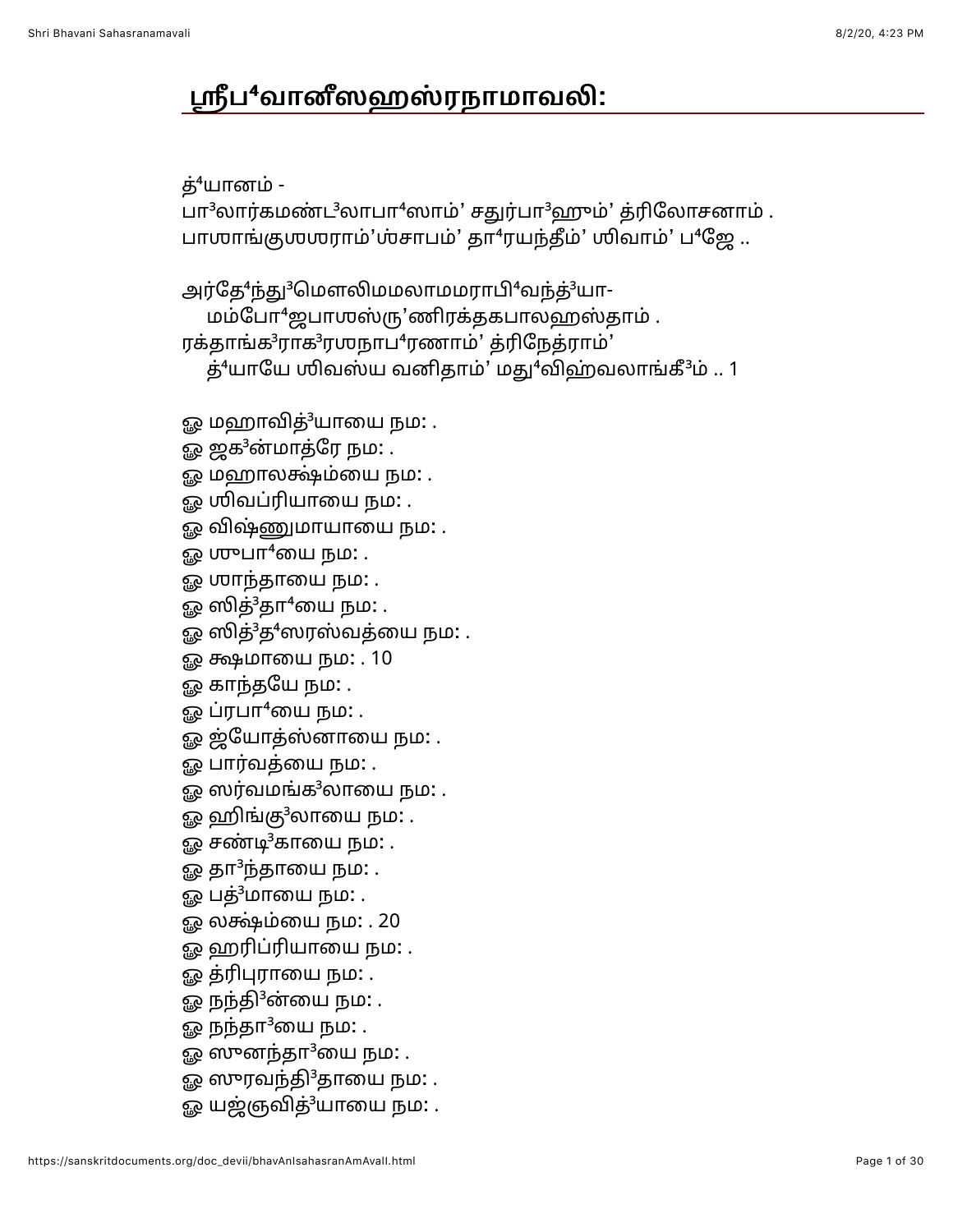## ஸ்ரீப<sup>4</sup>வானீஸஹஸ்ரநாமாவலி:

## த்<sup>4</sup>யானம் -

பா<sup>3</sup>லார்கமண்ட<sup>3</sup>லாபா<sup>4</sup>ஸாம்' சதுர்பா<sup>3</sup>ஹும்' த்ரிலோசனாம். பாஶாங்குஶஶராம்'ஶ்சாபம்' தா<sup>4</sup>ரயந்தீம்' ஶிவாம்' ப<sup>4</sup>ஜே..

அர்தே<sup>4</sup>ந்து<sup>3</sup>மௌலிமமலாமமராபி<sup>4</sup>வந்த்<sup>3</sup>யா-மம்போ<sup>4</sup>ஜபாஶஸ்ரு'ணிரக்தகபாலஹஸ்தாம். ரக்தாங்க<sup>3</sup>ராக<sup>3</sup>ரஶநாப<sup>4</sup>ரணாம்' த்ரிநேத்ராம்'  $\dot{\mathbf{S}}^4$ யாயே ஶிவஸ்ய வனிதாம்' மது $^4$ விஹ்வலாங்கீ $^3$ ம் .. 1

- ஓ மஹாவித்<sup>3</sup>யாயை நம: .
- ஓ ஜக<sup>3</sup>ன்மாத்ரே நம: .
- ஓ மஹாலக்ஷ்ம்யை நம: .
- ஓ **ஶிவப்ரியாயை நம:** .
- ஓ விஷ்ணுமாயாயை நம: .
- ஓ முுபா $4$ யை நம $:$ .
- ஓ **ராந்தாயை நம**: .
- ஓ ஸித் $3$ தா $4$ யை நம $\colon$ .
- ஓ ஸித்<sup>3</sup>த<sup>4</sup>ஸரஸ்வத்யை நம: .
- ஓ க்ஷமாயை நம: . 10
- ஓ காந்தயே நம: .
- ஓ ப்ரபா $4$ யை நம $:$  .
- ஓ ஜ்யோத்ஸ்னாயை நம: .
- ஓ பார்வத்யை நம**:** .
- ஓ ஸர்வமங்க $^3$ லாயை நம $\colon$  .
- ஓ ஹிங்கு $3$ லாயை நம: .
- $\mathbb{R}^2$  சண்டி $^3$ காயை நம $\colon$  .
- ஓ தா $3$ ந்தாயை நம $:$  .
- ஓ பத்<sup>3</sup>மாயை நம: .
- ஓ லக்ஷ்ம்யை நம: . 20
- ஓ ஹரிப்ரியாயை நம: .
- ஓ த்ரிபுராயை நம: .
- ஓ நந்தி<sup>3</sup>ன்யை நம: .
- ஓ நந்தா $3$ யை நம $:$  .
- ஓ ஸுனந்தா $3$ யை நம $:$  .
- ஓ ஸுரவந்தி $3$ தாயை நம $:$  .
- ஓ யஜ்ஞவித்<sup>3</sup>யாயை நம: .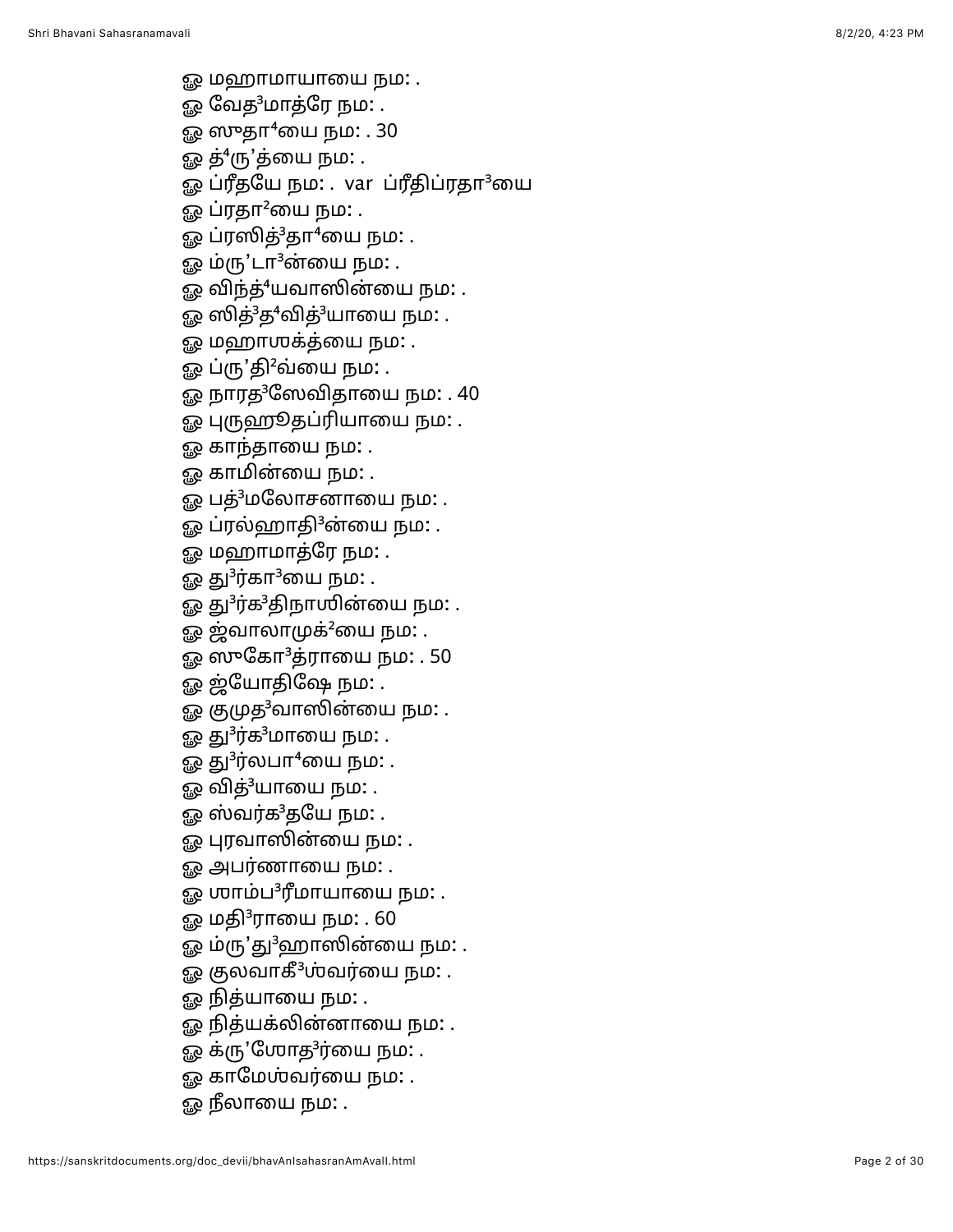- 
- 
- 
- 
- து மற்றுப்பாயாவை நம்: .<br>இரு நிறைந்து நிறைந்து நிறைந்து பிரிந்து நிறைந்து பிரிந்து நிறைந்து பிரிந்து நிறைந்து பிரிந்து நிறைந்து பிரிந்து நிறைந்து பிரிந்து பிரிந்து பிரிந்து பிரிந்து பிரிந்து பிரிந்து பிரிந்து பிரிந்து
	-
	-
	-
	-
	-
	-
	-
	-
	-
	-
	-
	-
	-
	-
	-
	-
	-
	-
	-
	-
	-
	-
	-
	-
	-
	-
	-
	-
	-
	-
	-
	-
	-
	-
	-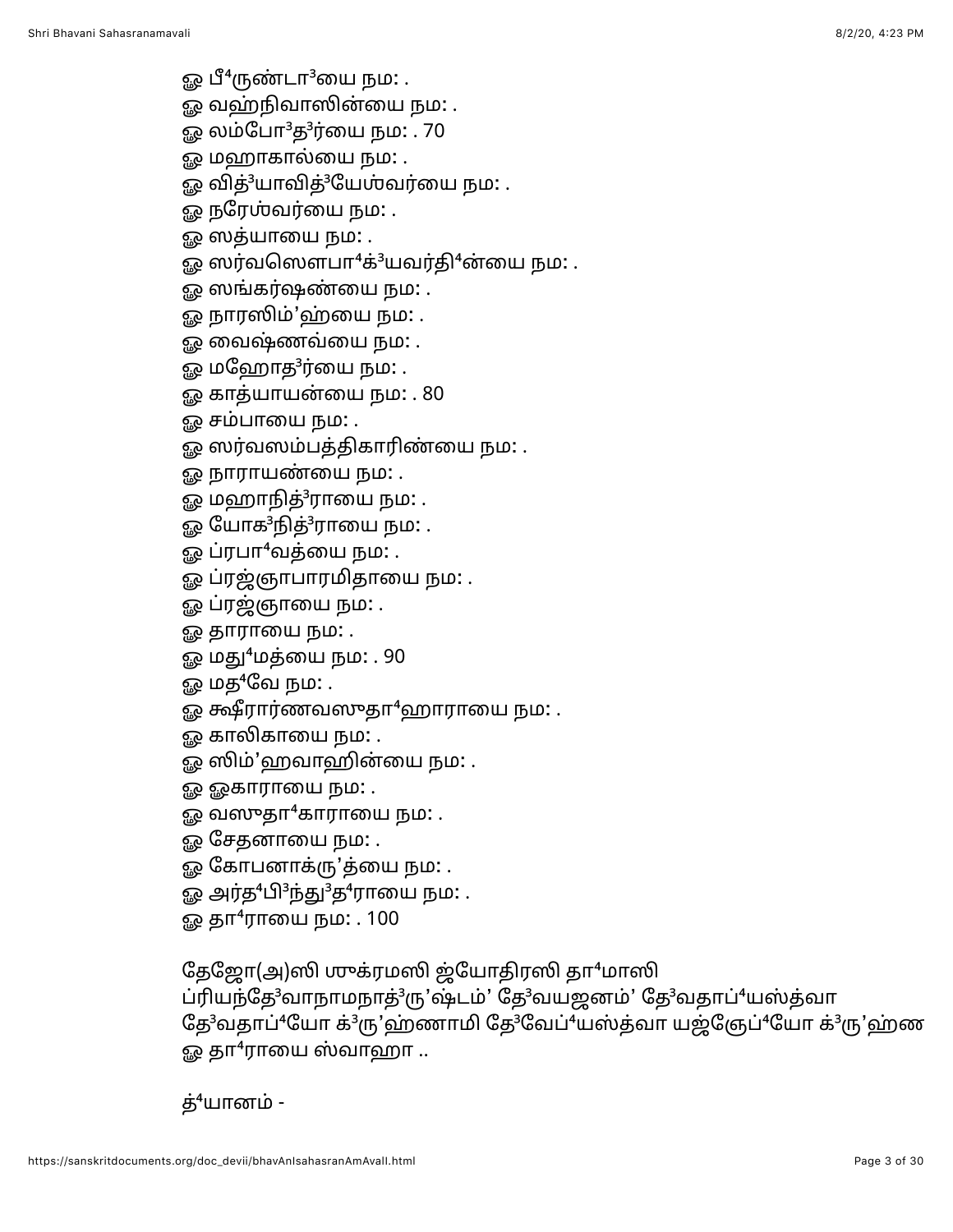- ஓ பீ $^4$ ருண்டா $^3$ யை நம $\colon$  .
- <u>ஓ</u> வஹ்நிவாஸின்யை நம: .
- ஓ லம்போ<sup>3</sup>த<sup>3</sup>ர்யை நம: . 70
- ஓ மஹாகால்யை நம: .
- ஓ வித்<sup>3</sup>யாவித்<sup>3</sup>யேஶ்வர்யை நம: .
- ஓ நரே**ஶ்வர்யை நம:** .
- ஓ ஸத்யாயை நம: .
- ஓ ஸர்வஸௌபா $4$ க் $3$ யவர்தி $4$ ன்யை நம: .
- ஓ ஸங்கர்ஷண்யை நம: .
- ஓ நாரஸிம்'ஹ்யை நம: .
- <u>ஓ</u> வைஷ்ணவ்யை நம: .
- ஓ மஹோத<sup>3</sup>ர்யை நம: .
- ஓ காத்யாயன்யை நம: . 80
- ஓ சம்பாயை நம**:** .
- ஓ ஸர்வஸம்பத்திகாரிண்யை நம: .
- ஓ நாராயண்யை நம: .
- ஓ மஹாநித் $3$ ராயை நம $:$  .
- ஓ யோக<sup>3</sup>நித்<sup>3</sup>ராயை நம: .
- ஓ ப்ரபா $4$ வத்யை நம $:$  .
- ஓ ப்ரஜ்ஞாபாரமிதாயை நம: .
- ஓ ப்ரஜ்ஞாயை நம: .
- ஓ தாராயை நம**:** .
- ஓ மது<sup>4</sup>மத்யை நம: . 90
- ஓ மத $4$ வே நம $:$  .
- $\mathfrak{g}_{\mathcal{R}}$  க்ஷீரார்ணவஸுதா $^4$ ஹாராயை நம $:$  .
- <u>ஓ</u> காலிகாயை நம: .
- ஓ ஸிம்'ஹவாஹின்யை நம: .
- ஓ ஓகாராயை நம**:** .
- $\mathfrak{g}_\mathcal{R}$  வஸுதா $^4$ காராயை நம $:$  .
- ஓ சேதனாயை நம: .
- ஓ கோபனாக்ரு'த்யை நம: .
- ஓ அர்த ${}^4$ பி ${}^3$ ந்து ${}^3$ த ${}^4$ ராயை நம: .
- ஓ தா<sup>4</sup>ராயை நம: . 100

தேஜோ(அ)ஸி முக்ரமஸி ஜ்யோதிரஸி தா $4$ மாஸி

ப்ரியந்தே<sup>3</sup>வாநாமநாத்<sup>3</sup>ரு'ஷ்டம்' தே<sup>3</sup>வயஜனம்' தே<sup>3</sup>வதாப்<sup>4</sup>யஸ்த்வா தே<sup>3</sup>வதாப்<sup>4</sup>யோ க்<sup>3</sup>ரு'ஹ்ணாமி தே<sup>3</sup>வேப்<sup>4</sup>யஸ்த்வா யஜ்ஞேப்<sup>4</sup>யோ க்<sup>3</sup>ரு'ஹ்ண  $\Omega$  தா<sup>4</sup>ராயை ஸ்வாஹா ..

த் $4$ யானம் -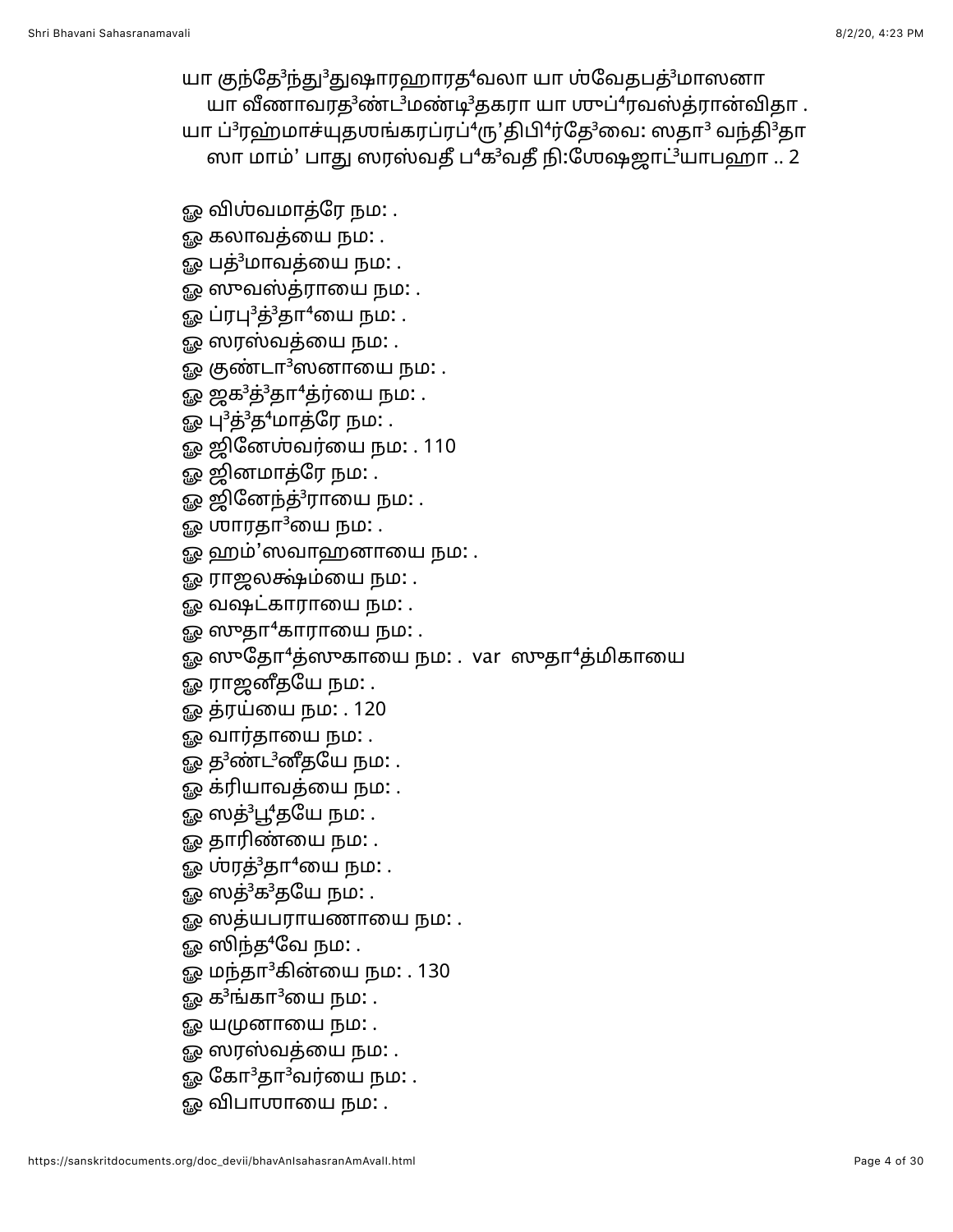யா குந்தே<sup>3</sup>ந்து<sup>3</sup>துஷாரஹாரத<sup>4</sup>வலா யா ஶ்வேதபத்<sup>3</sup>மாஸனா யா வீணாவரத $3$ ண்ட $3$ மண்டி $3$ தகரா யா ஶுப் $4$ ரவஸ்த்ரான்விதா. யா ப்<sup>3</sup>ரஹ்மாச்யுதஶங்கரப்ரப்<sup>4</sup>ரு'திபி<sup>4</sup>ர்தே<sup>3</sup>வை: ஸதா<sup>3</sup> வந்தி<sup>3</sup>தா

ஓ விஶ்வமாத்ரே நம: . ௐ கலாவத்யை நம: . ஓ பத் $^3$ மாவத்யை நம $\colon$  .

ஓ ஸுவஸ்த்ராயை நம: . ஓ ப்ரபு $^3$ த் $^3$ தா $^4$ யை நம $\colon$  . <u>ஓ</u> ஸரஸ்வத்யை நம: .

ஓ குண்டா $3$ ஸனாயை நம $\colon$ . ஓ ஜக $3$ த் $3$ தா $4$ த்ர்யை நம $\ldots$ ஓ பு<sup>3</sup>த்<sup>3</sup>த<sup>4</sup>மாத்ரே நம: .

ஓ ஜினேஶ்வர்யை நம: . 110

ஓ ஹம்'ஸவாஹனாயை நம: .

ஓ ஸுதோ $^4$ த்ஸுகாயை நம: . var ஸுதா $^4$ த்மிகாயை

ஓ ஜினேந்த்<sup>3</sup>ராயை நம: .

ஓ ராஜலக்ஷ்ம்யை நம: . ஓ வஷட்காராயை நம: .  $\mathbb{Q}$  ஸுதா $4$ காராயை நம $:$ .

ஓ ஜினமாத்ரே நம: .

 $\omega$  மாரதா $^3$ யை நம $:$  .

ஸா மாம்' பாது ஸரஸ்வதீ ப<sup>4</sup>க<sup>3</sup>வதீ நி:ஶேஷஜாட்<sup>3</sup>யாபஹா .. 2

ஓ த<sup>3</sup>ண்ட<sup>3</sup>னீதயே நம: . ஓ க்ரியாவத்யை நம: .

ஓ ஸத் ${}^{3}L_{1}^{4}$ தயே நம $:$  .

ஓ ராஜனீதயே நம: . ஓ த்ரய்யை நம: . 120 ஓ வார்தாயை நம**:** .

ஓ தாரிண்யை நம: .

ஓ ஶ்ரத் $3$ தா $4$ யை நம $\colon$ .

ஓ ஸத்<sup>3</sup>க $^3$ தயே நம: .

ஓ ஸத்யபராயணாயை நம: .

ஓ ஸிந்த ${}^4$ வே நம: .

ஓ மந்தா $3$ கின்யை நம: . 130

ஓ க<sup>3</sup>ங்கா<sup>3</sup>யை நம: .

ஓ யமுனாயை நம**:** .

ஓ ஸரஸ்வத்யை நம: .

ஓ கோ $3$ தா $3$ வர்யை நம $\ldots$ 

<u>ஓ</u> விபாஶாயை நம: .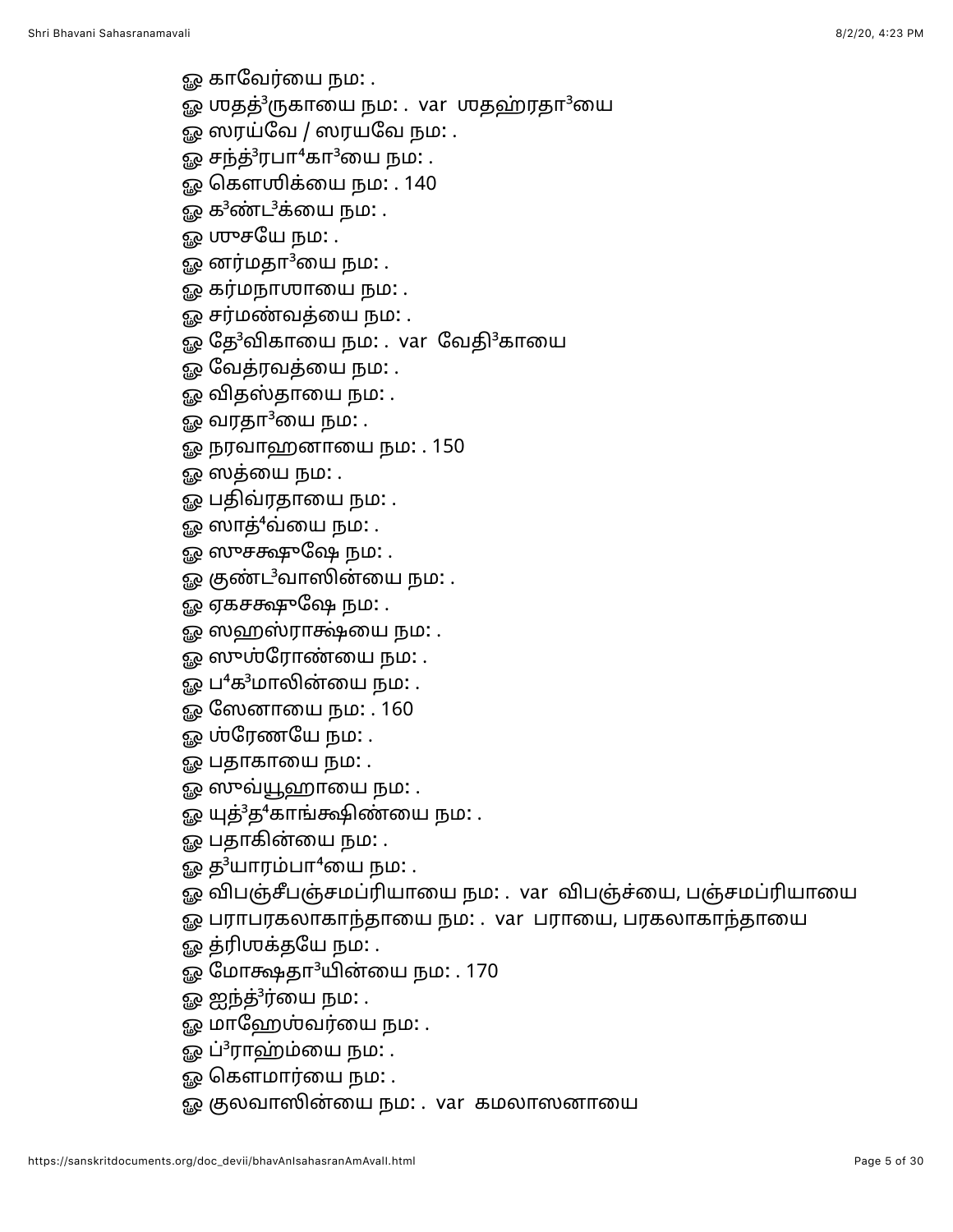<u>ஓ</u> காவேர்யை நம: .

- ஓ ஶதத்<sup>3</sup>ருகாயை நம: . var ஶதஹ்ரதா<sup>3</sup>யை
- ஓை ஸரய்வே / ஸரயவே நம $:$  .
- ஓ சந்த் ${}^{3}$ ரபா ${}^{4}$ கா ${}^{3}$ யை நம $:$  .
- ஓ கௌஶிக்யை நம: . 140
- ஓ க $3$ ண்ட $3$ க்யை நம: .
- ஓ ஶுசயே நம: .
- ஓ னர்மதா $3$ யை நம $:$  .
- ஓ கர்மநா**ஶாயை நம**: .
- ஓ சர்மண்வத்யை நம: .
- ஓ தே<sup>3</sup>விகாயை நம: . var வேதி<sup>3</sup>காயை
- ஓ வேத்ரவத்யை நம**:** .
- ஓ விதஸ்தாயை நம: .
- ஓ வரதா $3$ யை நம $:$  .
- ஓ நரவாஹனாயை நம: . 150
- ஓ ஸத்யை நம: .
- ஓ பதிவ்ரதாயை நம: .
- ஓ ஸாத்<sup>4</sup>வ்யை நம: .
- ௐ ஸுசக்ஷுஷே நம: .
- ஓ குண்ட<sup>3</sup>வாஸின்யை நம: .
- ஓ ஏகசக்ஷுஷே நம: .
- ஓ ஸஹஸ்ராக்ஷ்யை நம: .
- ஓ ஸுஶ்ரோண்யை நம: .
- ஓ ப<sup>4</sup>க<sup>3</sup>மாலின்யை நம: .
- ஓ ஸேனாயை நம: . 160
- ஓ ஶ்ரேணயே நம: .
- ஓ பதாகாயை நம: .
- ஓ ஸுவ்யூஹாயை நம: .
- ஓ யுத்<sup>3</sup>த<sup>4</sup>காங்க்ஷிண்யை நம: .
- ஓ பதாகின்யை நம**:** .
- ஓ த $^3$ யாரம்பா $^4$ யை நம $:$  .
- ஓ விபஞ்சீபஞ்சமப்ரியாயை நம: . var விபஞ்ச்யை, பஞ்சமப்ரியாயை
- ஓ பராபரகலாகாந்தாயை நம: . var பராயை, பரகலாகாந்தாயை
- ஓ த்ரிஶக்தயே நம: .
- ஓ மோக்ஷதா<sup>3</sup>யின்யை நம: . 170
- ஓ ஐந்த்<sup>3</sup>ர்யை நம: .
- ஓ மாஹே**ஶ்வர்யை நம**: .
- ஓ ப்<sup>3</sup>ராஹ்ம்யை நம: .
- ஓ கௌமார்யை நம**:** .
- ஓ குலவாஸின்யை நம: . var கமலாஸனாயை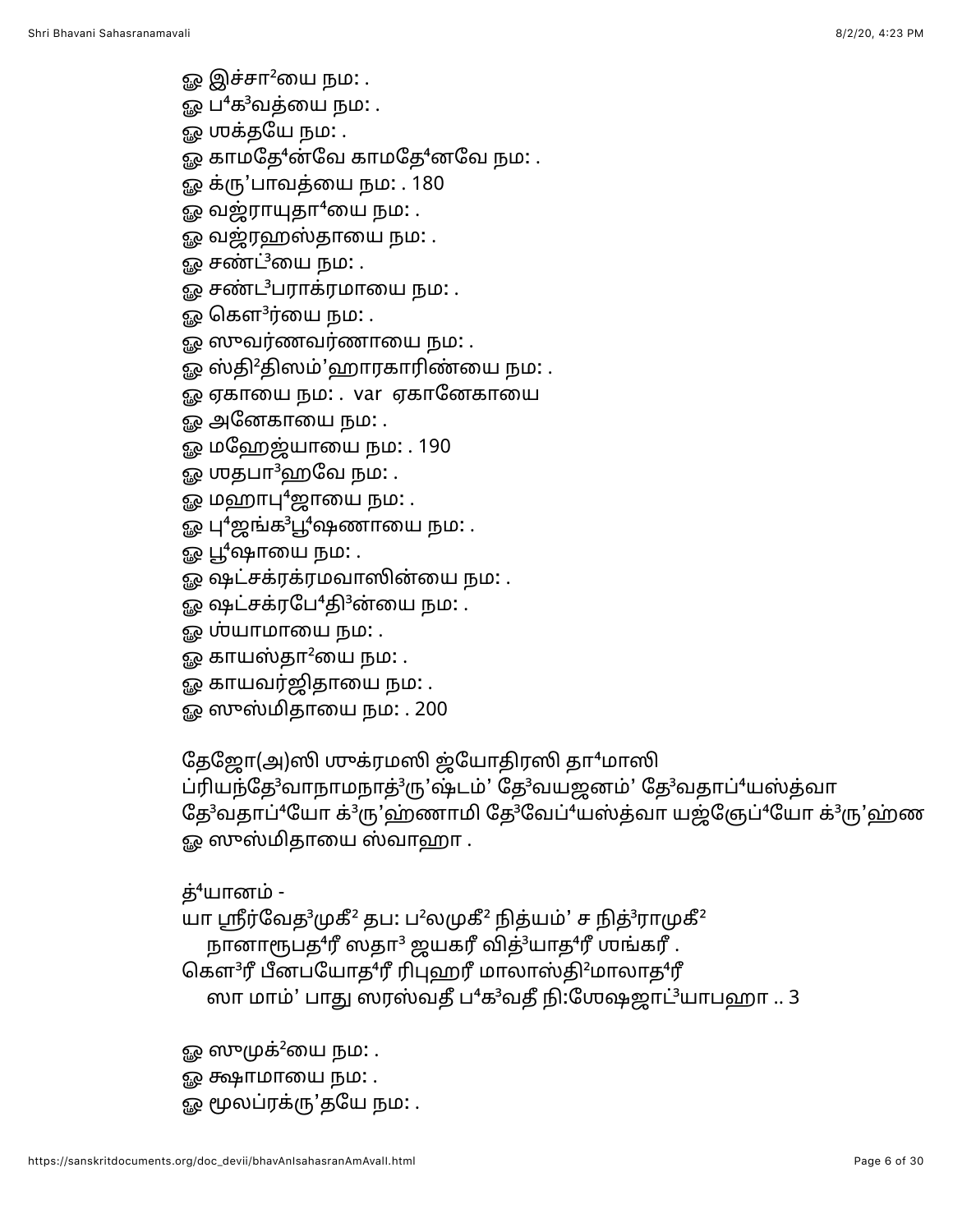- <u>ஓ</u> இச்சா<sup>2</sup>யை நம: .
- ஓ ப $^4$ க $^3$ வத்யை நம $\colon$  .
- ஓ **முக்தயே நம:** .
- ஓ காமதே<sup>4</sup>ன்வே காமதே<sup>4</sup>னவே நம:.
- ஓ க்ரு'பாவத்யை நம: . 180
- $\Omega$  வஜ்ராயுதா $^4$ யை நம $\Omega$  .
- ஓ வஜ்ரஹஸ்தாயை நம: .
- ஓ சண்ட்<sup>3</sup>யை நம: .
- ஓ சண்ட<sup>3</sup>பராக்ரமாயை நம: .
- ஓ கௌ $3$ ர்யை நம $\colon$  .
- <u>ஓ</u> ஸுவர்ணவர்ணாயை நம: .
- ஓ ஸ்தி<sup>2</sup>திஸம்'ஹாரகாரிண்யை நம: .
- ஓ ஏகாயை நம: . var ஏகானேகாயை
- ஓ அனேகாயை நம**:** .
- ஓ மஹேஜ்யாயை நம: . 190
- ஓ ஶதபா $^3$ ஹவே நம $:$  .
- $\mathbb{Q}$  மஹாபு $^4$ ஜாயை நம $\colon$ .
- ஓ பு<sup>4</sup>ஜங்க<sup>3</sup>பூ<sup>4</sup>ஷணாயை நம: .
- ஓ பூ $^4$ ஷாயை நம $\colon$  .
- ஓ ஷட்சக்ரக்ரமவாஸின்யை நம: .
- ஓ ஷட்சக்ரபே<sup>4</sup>தி<sup>3</sup>ன்யை நம: .
- ஓ ஶ்யாமாயை நம**:** .
- $\mathfrak{g}_{\mathcal{P}}$  காயஸ்தா $^2$ யை நம: .
- ஓ காயவர்ஜிதாயை நம: .
- ஓ ஸுஸ்மிதாயை நம: . 200

தேஜோ(அ)ஸி முக்ரமஸி ஜ்யோதிரஸி தா<sup>4</sup>மாஸி

ப்ரியந்தே<sup>3</sup>வாநாமநாத்<sup>3</sup>ரு'ஷ்டம்' தே<sup>3</sup>வயஜனம்' தே<sup>3</sup>வதாப்<sup>4</sup>யஸ்த்வா தே<sup>3</sup>வதாப்<sup>4</sup>யோ க்<sup>3</sup>ரு'ஹ்ணாமி தே<sup>3</sup>வேப்<sup>4</sup>யஸ்த்வா யஜ்ஞேப்<sup>4</sup>யோ க்<sup>3</sup>ரு'ஹ்ண ஓ ஸுஸ்மிதாயை ஸ்வாஹா .

## த்<sup>4</sup>யானம் -

யா ஸ்ரீர்வேத<sup>3</sup>முகீ<sup>2</sup> தப: ப<sup>2</sup>லமுகீ<sup>2</sup> நித்யம்' ச நித்<sup>3</sup>ராமுகீ<sup>2</sup> நானாரூபத $^4$ ரீ ஸதா $^3$  ஜயகரீ வித் $^3$ யாத $^4$ ரீ ஶங்கரீ . கௌ $3$ ரீ பீனபயோத $4$ ரீ ரிபுஹரீ மாலாஸ்தி $2$ மாலாத $4$ ரீ ஸா மாம்' பாது ஸரஸ்வதீ ப<sup>4</sup>க<sup>3</sup>வதீ நி:ஶேஷஜாட்<sup>3</sup>யாபஹா .. 3

- ஓ ஸுமுக்<sup>2</sup>யை நம: .
- ஓ க்ஷாமாயை நம**:** .
- ஓ மூலப்ரக்ரு'தயே நம: .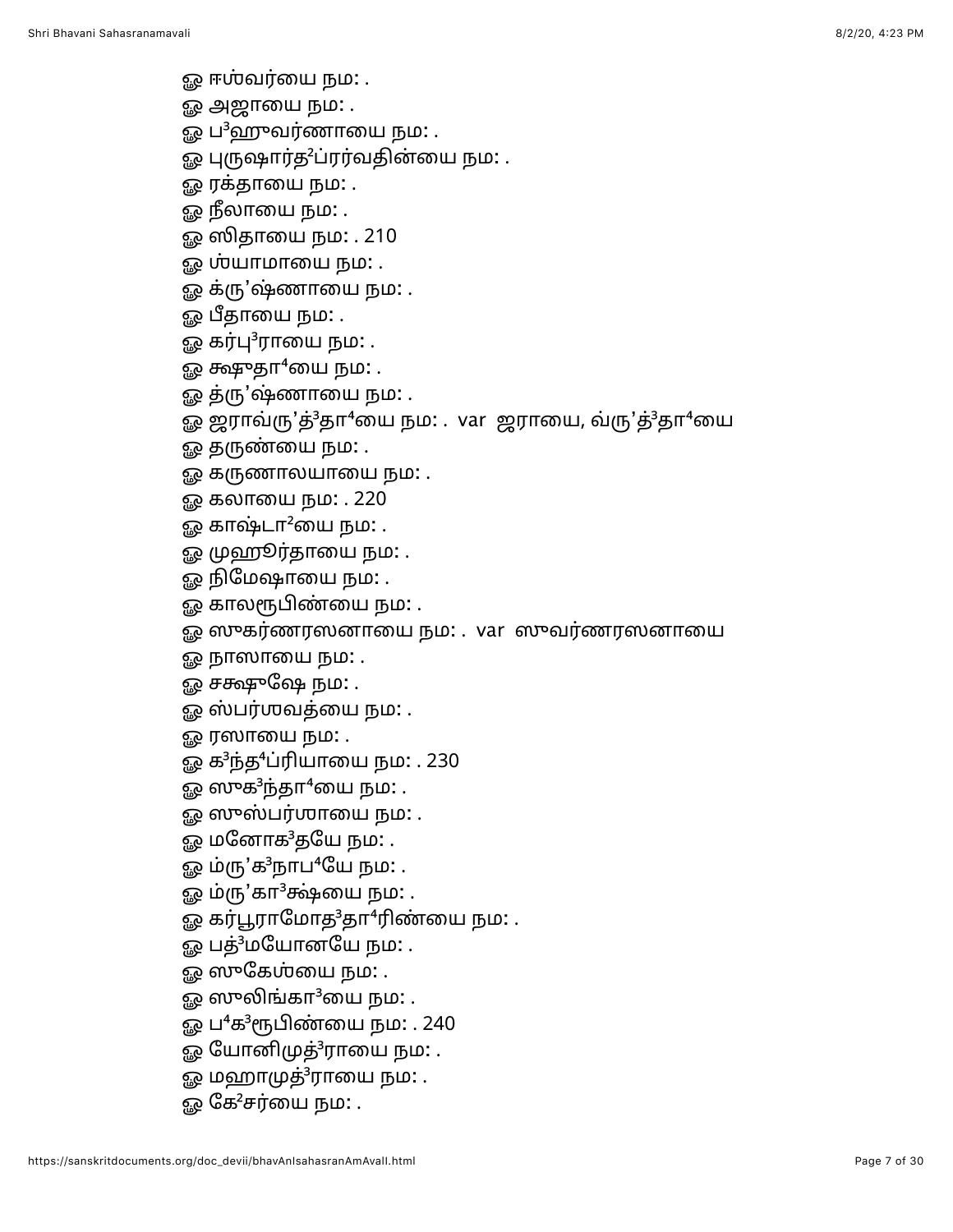- ஓ ஈஶ்வர்யை நம: .
- ஓ அஜாயை நம: .
- ஓ ப $^3$ ஹுவர்ணாயை நம $:$  .
- ஓ புருஷார்த<sup>2</sup>ப்ரர்வதின்யை நம: .
- ஓ ரக்தாயை நம: .
- ஓ நீலாயை நம: .
- ஓ ஸிதாயை நம: . 210
- ஓ **ம்யாமாயை நம**: .
- ஓ க்ரு'ஷ்ணாயை நம: .
- ஓ பீதாயை நம: .
- ஓ கர்பு ${}^{3}$ ராயை நம $:$  .
- $\mathbb{Q}$  க்ஷுதா<sup>4</sup>யை நம $:$  .
- ஓ த்ரு'ஷ்ணாயை நம: .
- ஓ ஜராவ்ரு'த்<sup>3</sup>தா<sup>4</sup>யை நம: . var ஜராயை, வ்ரு'த்<sup>3</sup>தா<sup>4</sup>யை
- ஓ தருண்யை நம: .
- ஓ கருணாலயாயை நம: .
- ஓ கலாயை நம: . 220
- ஓ காஷ்டா $^2$ யை நம $:$  .
- ஓ முஹூர்தாயை நம: .
- ஓ நிமேஷாயை நம: .
- ஓ காலரூபிண்யை நம: .
- ஓ ஸுகர்ணரஸனாயை நம: . var ஸுவர்ணரஸனாயை
- ஓ நாஸாயை நம: .
- ஓ சக்ஷுஷே நம**:** .
- ஓ ஸ்பர்ஶவத்யை நம: .
- ஓ ரஸாயை நம: .
- ஓ க<sup>3</sup>ந்த<sup>4</sup>ப்ரியாயை நம: . 230
- ஓ ஸுக $\rm{^3}$ ந்தா $\rm{^4}$ யை நம: .
- ஓ ஸுஸ்பர்ஶாயை நம**:** .
- ஓ மனோக<sup>3</sup>தயே நம: .
- ஓ ம்ரு'க<sup>3</sup>நாப<sup>4</sup>யே நம: .
- ஓ ம்ரு'கா<sup>3</sup>க்ஷ்யை நம: .
- ஓ கர்பூராமோத $3$ தா $4$ ரிண்யை நம $:$ .
- ஓ பத்<sup>3</sup>மயோனயே நம: .
- ஓ ஸுகேஶ்யை நம: .
- ஓ ஸுலிங்கா $3$ யை நம $: .$
- ஓ ப<sup>4</sup>க<sup>3</sup>ரூபிண்யை நம: . 240
- ஓ யோனிமுத்<sup>3</sup>ராயை நம: .
- ஓ மஹாமுத் $3$ ராயை நம $\ldots$
- ஓ கே $2$ சர்யை நம $:$  .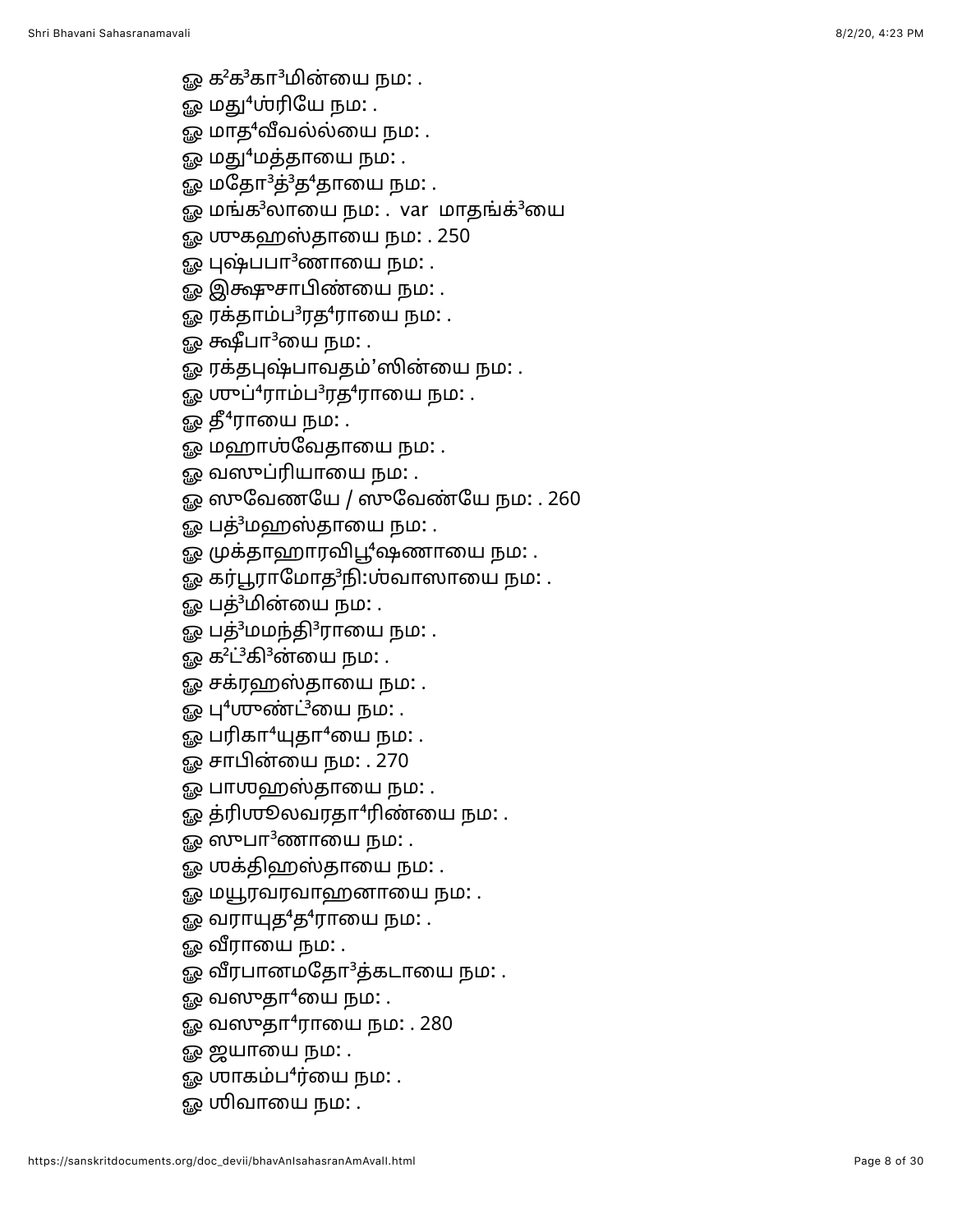- 
- 
- 
- 
- 
- 
- 
- 
- 
- 
- 
- 
- 
- 
- 
- 
- $Q_0$  with an identical<br>in particular in particular in particular in the gas map of the particular in the gas map of the particular in the gas map of the particular of the gas map of the particular in the gas map of the p
	-
	-
	-
	-
	-
	-
	-
	-
	-
	-
	-
	-
	-
	-
	-
	-
	-
	-
	-
	-
	-
	-
	-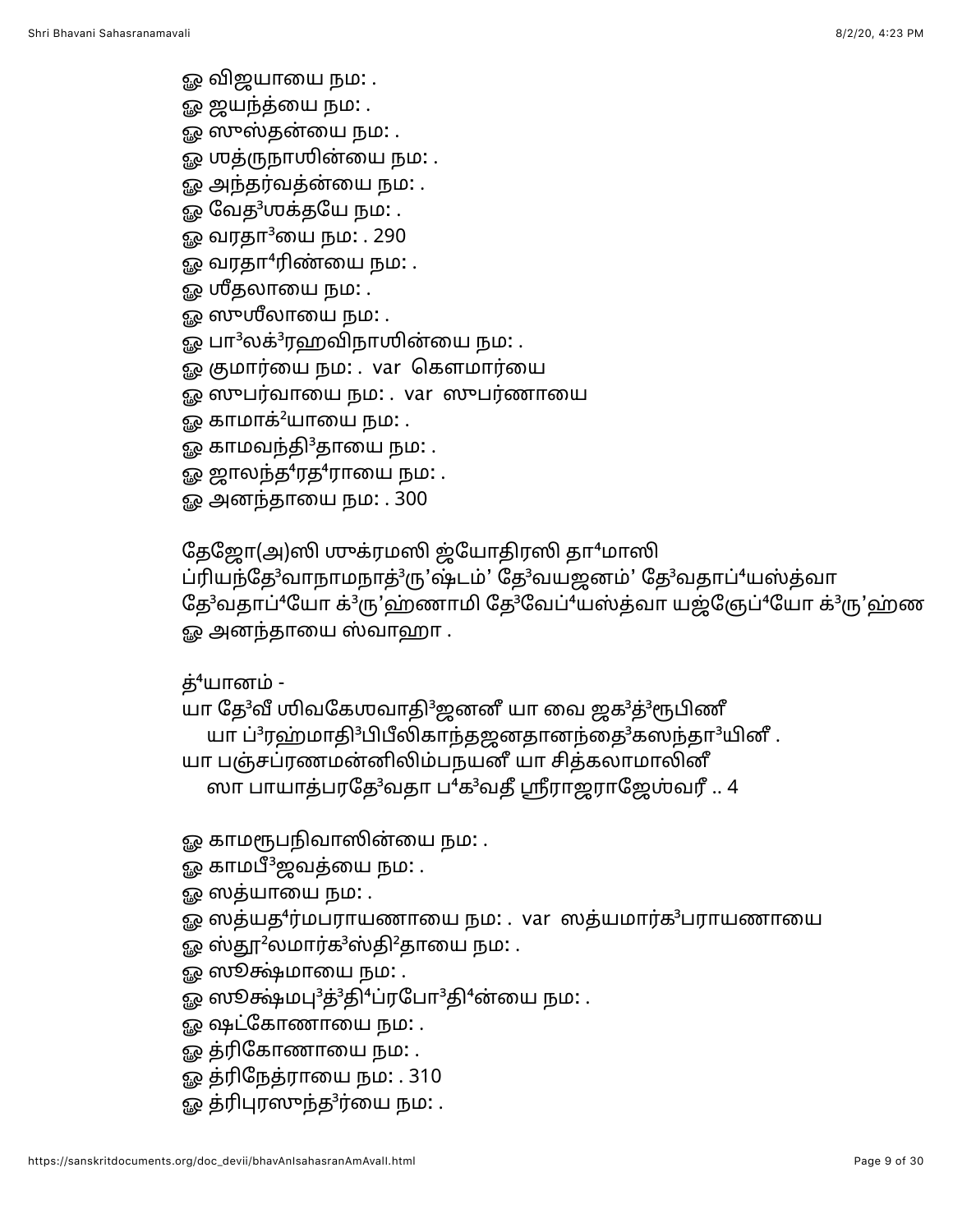ஓ விஜயாயை நம: .

ஓ ஜயந்த்யை நம**:** .

ஓ ஸுஸ்தன்யை நம: .

ஓ முத்ருநாயின்யை நம: .

ஓ அந்தர்வத்ன்யை நம: .

ஓ வேத<sup>3</sup>ஶக்தயே நம: .

ஓ வரதா<sup>3</sup>யை நம: . 290

 $\mathfrak{g}_{\mathfrak{G}}$  வரதா $^4$ ரிண்யை நம: .

ஓ ஶீதலாயை நம: .

ஓ ஸுஶீலாயை நம: .

ஓ பா<sup>3</sup>லக்<sup>3</sup>ரஹவிநாஶின்யை நம: .

ஓ குமார்யை நம: . var கௌமார்யை

ஓ ஸுபர்வாயை நம: . var ஸுபர்ணாயை

ஓ காமாக் $^2$ யாயை நம $\colon$  .

ஓ காமவந்தி<sup>3</sup>தாயை நம: .

ஓ ஜாலந்த $4$ ரத $4$ ராயை நம $\colon$ .

ஓ அனந்தாயை நம: . 300

தேஜோ(அ)ஸி முக்ரமஸி ஜ்யோதிரஸி தா<sup>4</sup>மாஸி

ப்ரியந்தே<sup>3</sup>வாநாமநாத்<sup>3</sup>ரு'ஷ்டம்' தே<sup>3</sup>வயஜனம்' தே<sup>3</sup>வதாப்<sup>4</sup>யஸ்த்வா தே<sup>3</sup>வதாப்<sup>4</sup>யோ க்<sup>3</sup>ரு'ஹ்ணாமி தே<sup>3</sup>வேப்<sup>4</sup>யஸ்த்வா யஜ்ஞேப்<sup>4</sup>யோ க்<sup>3</sup>ரு'ஹ்ண ஓ அனந்தாயை ஸ்வாஹா .

த்<sup>4</sup>யானம் -

யா தே<sup>3</sup>வீ ஶிவகேஶவாதி<sup>3</sup>ஜனனீ யா வை ஜக<sup>3</sup>த்<sup>3</sup>ரூபிணீ யா ப்<sup>3</sup>ரஹ்மாதி<sup>3</sup>பிபீலிகாந்தஜனதானந்தை<sup>3</sup>கஸந்தா<sup>3</sup>யினீ.

யா பஞ்சப்ரணமன்னிலிம்பநயனீ யா சித்கலாமாலினீ

ஸா பாயாத்பரதே<sup>3</sup>வதா ப<sup>4</sup>க<sup>3</sup>வதீ ஸ்ரீராஜராஜேஶ்வரீ .. 4

ஓ காமரூபநிவாஸின்யை நம: .

ஓ காமபீ<sup>3</sup>ஜவத்யை நம: .

ஓ ஸத்யாயை நம: .

ஓ ஸத்யத<sup>4</sup>ர்மபராயணாயை நம: . var ஸத்யமார்க<sup>3</sup>பராயணாயை

ஓ ஸ்தூ<sup>2</sup>லமார்க<sup>3</sup>ஸ்தி<sup>2</sup>தாயை நம: .

ஓ ஸூக்ஷ்மாயை நம: .

ஓ ஸூக்ஷ்மபு<sup>3</sup>த்<sup>3</sup>தி<sup>4</sup>ப்ரபோ<sup>3</sup>தி<sup>4</sup>ன்யை நம: .

ஓ ஷட்கோணாயை நம: .

ஓ த்ரிகோணாயை நம: .

ஓ த்ரிநேத்ராயை நம: . 310

ஓ த்ரிபுரஸுந்த<sup>3</sup>ர்யை நம: .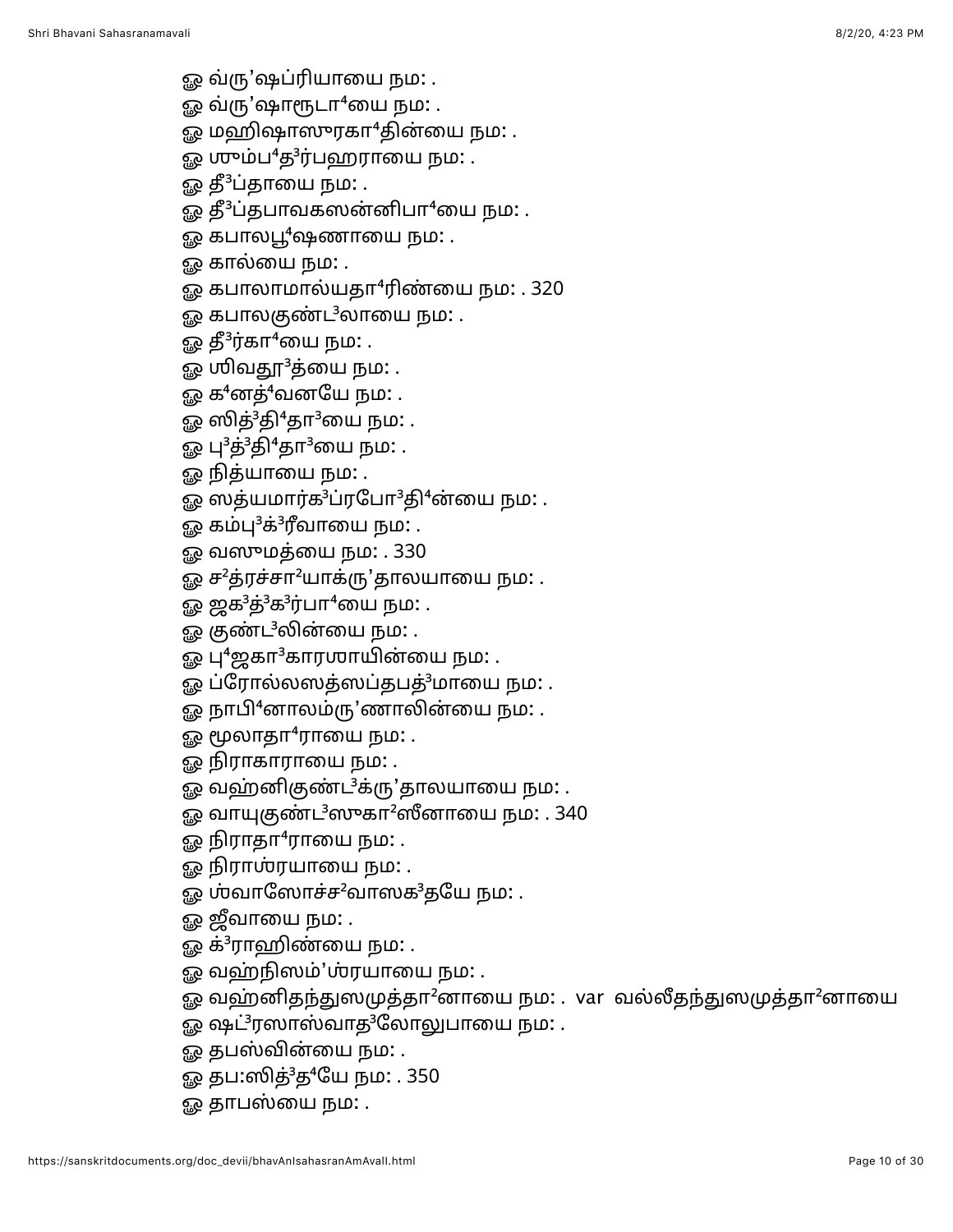- ஓ வ்ரு'ஷப்ரியாயை நம**:** .
- ஓ வ்ரு'ஷாரூடா<sup>4</sup>யை நம: .
- ஓ மஹிஷாஸுரகா<sup>4</sup>தின்யை நம: .
- ஓ ஶும்ப<sup>4</sup>த<sup>3</sup>ர்பஹராயை நம: .
- ஓ தீ ${}^{3}$ ப்தாயை நம $:$  .
- ஓ தீ<sup>3</sup>ப்தபாவகஸன்னிபா<sup>4</sup>யை நம: .
- ஓ கபாலபூ<sup>4</sup>ஷணாயை நம: .
- ஓ கால்யை நம: .
- ஓ கபாலாமால்யதா<sup>4</sup>ரிண்யை நம: . 320
- ஓ கபாலகுண்ட<sup>3</sup>லாயை நம: .
- <u>ஓ</u> தீ<sup>3</sup>ர்கா<sup>4</sup>யை நம: .
- ௐ ஶிவதூ<sup>3</sup>த்யை நம: .
- ஓ க $4$ னத் $4$ வனயே நம $\colon$  .
- ஓ ஸித்<sup>3</sup>தி<sup>4</sup>தா<sup>3</sup>யை நம: .
- ஓ பு $^3$ த் $^3$ தி $^4$ தா $^3$ யை நம $\colon$  .
- ஓ நித்யாயை நம: .
- ஓ ஸத்யமார்க<sup>3</sup>ப்ரபோ<sup>3</sup>தி<sup>4</sup>ன்யை நம: .
- ஓ கம்பு<sup>3</sup>க்<sup>3</sup>ரீவாயை நம: .
- ஓ வஸுமத்யை நம: . 330
- ஓ ச<sup>2</sup>த்ரச்சா<sup>2</sup>யாக்ரு'தாலயாயை நம: .
- ஓ ஜக<sup>3</sup>த்<sup>3</sup>க<sup>3</sup>ர்பா<sup>4</sup>யை நம: .
- ஓ குண்ட<sup>3</sup>லின்யை நம: .
- ஓ பு $4$ ஜகா $3$ காரஶாயின்யை நம $:$  .
- ஓ ப்ரோல்லஸத்ஸப்தபத்<sup>3</sup>மாயை நம: .
- ஓ நாபி<sup>4</sup>னாலம்ரு'ணாலின்யை நம: .
- ஓ மூலாதா $4$ ராயை நம $:$  .
- ஓ நிராகாராயை நம: .
- ஓ வஹ்னிகுண்ட<sup>3</sup>க்ரு'தாலயாயை நம: .
- ஓ வாயுகுண்ட $3$ ஸுகா $2$ ஸீனாயை நம $: .340$
- ஓ நிராதா $4$ ராயை நம $:$  .
- ஓ நிராஶ்ரயாயை நம: .
- ஓ ஶ்வாஸோச்ச<sup>2</sup>வாஸக<sup>3</sup>தயே நம: .
- ஓ ஜீவாயை நம: .
- ஓ க் ${}^{3}$ ராஹிண்யை நம $:$  .
- ஓ வஹ்நிஸம்'ஶ்ரயாயை நம: .
- ஓ வஹ்னிதந்துஸமுத்தா<sup>2</sup>னாயை நம: . var வல்லீதந்துஸமுத்தா<sup>2</sup>னாயை
- ஓ ஷட்<sup>3</sup>ரஸாஸ்வாத<sup>3</sup>லோலுபாயை நம: .
- ஓ தபஸ்வின்யை நம: .
- ஓ தப:ஸித்<sup>3</sup>த<sup>4</sup>யே நம: . 350
- <u>ஓ</u> தாபஸ்யை நம: .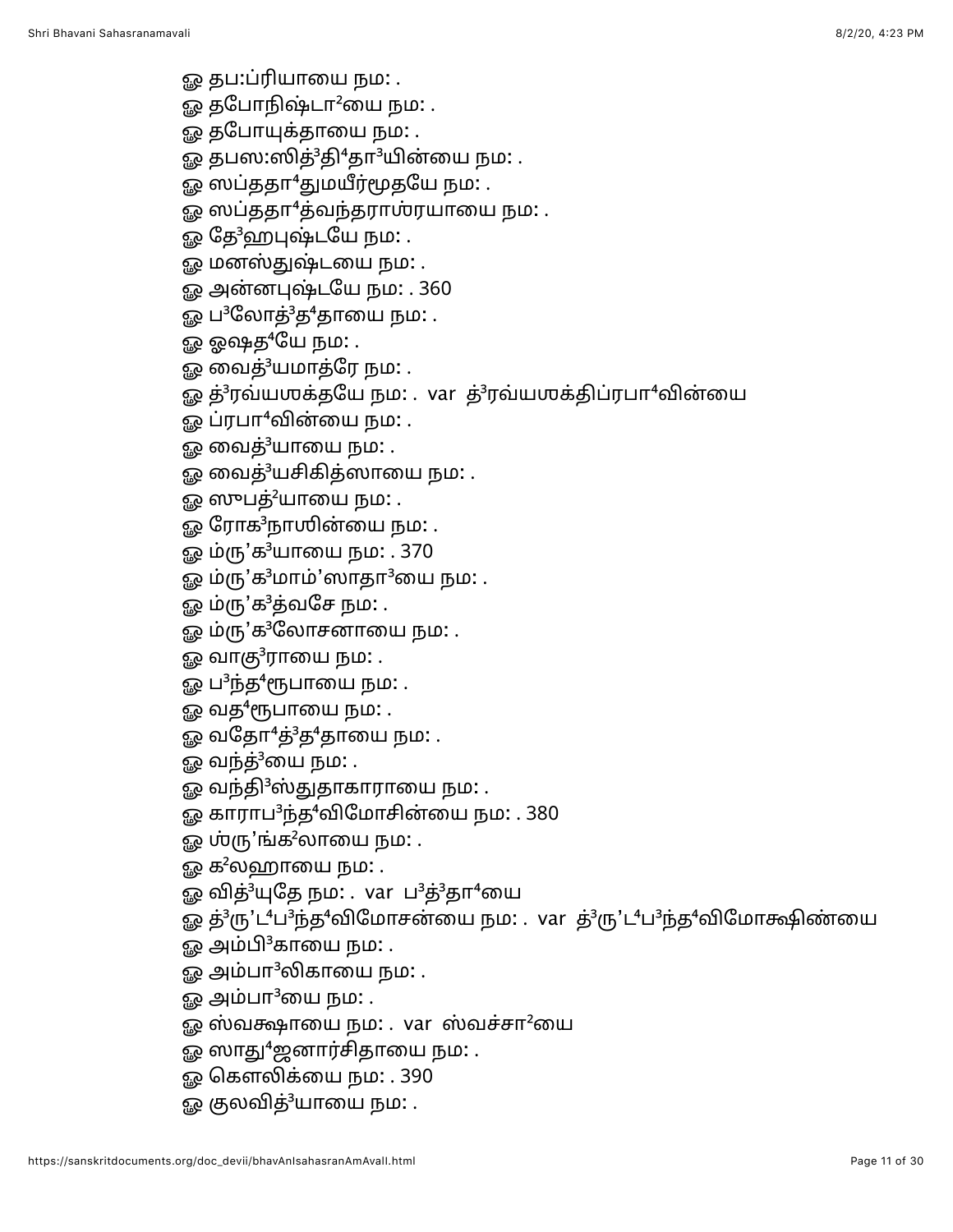ஓ தப:ப்ரியாயை நம: .

- ஓ தபோநிஷ்டா<sup>2</sup>யை நம: .
- <u>ஓ</u> தபோயுக்தாயை நம: .
- ஓ தபஸ:ஸித்<sup>3</sup>தி<sup>4</sup>தா<sup>3</sup>யின்யை நம: .
- ஓ ஸப்ததா<sup>4</sup>துமயீர்மூதயே நம: .
- ஓ ஸப்ததா<sup>4</sup>த்வந்தராஶ்ரயாயை நம: .
- ஓ தே<sup>3</sup>ஹபுஷ்டயே நம: .
- ஓ மனஸ்துஷ்டயை நம: .
- ஓ அன்னபுஷ்டயே நம: . 360
- ஓ ப<sup>3</sup>லோத்<sup>3</sup>த<sup>4</sup>தாயை நம: .
- ஓ ஓஷத<sup>4</sup>யே நம: .
- ஓ வைத் $^3$ யமாத்ரே நம $\colon$  .
- ஓ த்<sup>3</sup>ரவ்யஶக்தயே நம: . var த்<sup>3</sup>ரவ்யஶக்திப்ரபா<sup>4</sup>வின்யை
- ௐ ப்ரபா<sup>4</sup>வின்யை நம: .
- $\Omega$  வைத் $3$ யாயை நம $\Omega$  .
- ஓ வைத்<sup>3</sup>யசிகித்ஸாயை நம: .
- ஓ ஸுபத்<sup>2</sup>யாயை நம: .
- ஓ ரோக<sup>3</sup>நாஶின்யை நம: .
- ஓ ம்ரு'க<sup>3</sup>யாயை நம: . 370
- ஓ ம்ரு'க $3$ மாம்'ஸாதா $3$ யை நம $\colon$ .
- ஓ ம்ரு'க $3$ த்வசே நம $:$  .
- ஓ ம்ரு'க<sup>3</sup>லோசனாயை நம: .
- ஓ வாகு $3$ ராயை நம $:$  .
- ௐ ப<sup>3</sup>ந்த<sup>4</sup>ரூபாயை நம: .
- ௐ வத<sup>4</sup>ரூபாயை நம: .
- ஓ வதோ $4$ த் $3$ த $4$ தாயை நம $\colon$  .
- ஓ வந்த்<sup>3</sup>யை நம: .
- ஓ வந்தி<sup>3</sup>ஸ்துதாகாராயை நம: .
- ஓ காராப<sup>3</sup>ந்த<sup>4</sup>விமோசின்யை நம: . 380
- ஓ ஶ்ரு'ங்க $^2$ லாயை நம $\colon$  .
- ஓ க<sup>2</sup>லஹாயை நம: .
- ஓ வித்<sup>3</sup>யுதே நம: . var ப<sup>3</sup>த்<sup>3</sup>தா<sup>4</sup>யை
- ஓ த்<sup>3</sup>ரு'ட<sup>4</sup>ப<sup>3</sup>ந்த<sup>4</sup>விமோசன்யை நம: . var த்<sup>3</sup>ரு'ட<sup>4</sup>ப<sup>3</sup>ந்த<sup>4</sup>விமோக்ஷிண்யை
- ஓ அம்பி ${}^{3}$ காயை நம $:$  .
- ஓ அம்பா<sup>3</sup>லிகாயை நம: .
- <u>ஓ</u> அம்பா $^3$ யை நம $\colon$  .
- ஓ ஸ்வக்ஷாயை நம: . var ஸ்வச்சா<sup>2</sup>யை
- ஓ ஸாது<sup>4</sup>ஜனார்சிதாயை நம: .
- ஓ கௌலிக்யை நம: . 390
- ஓ குலவித்<sup>3</sup>யாயை நம: .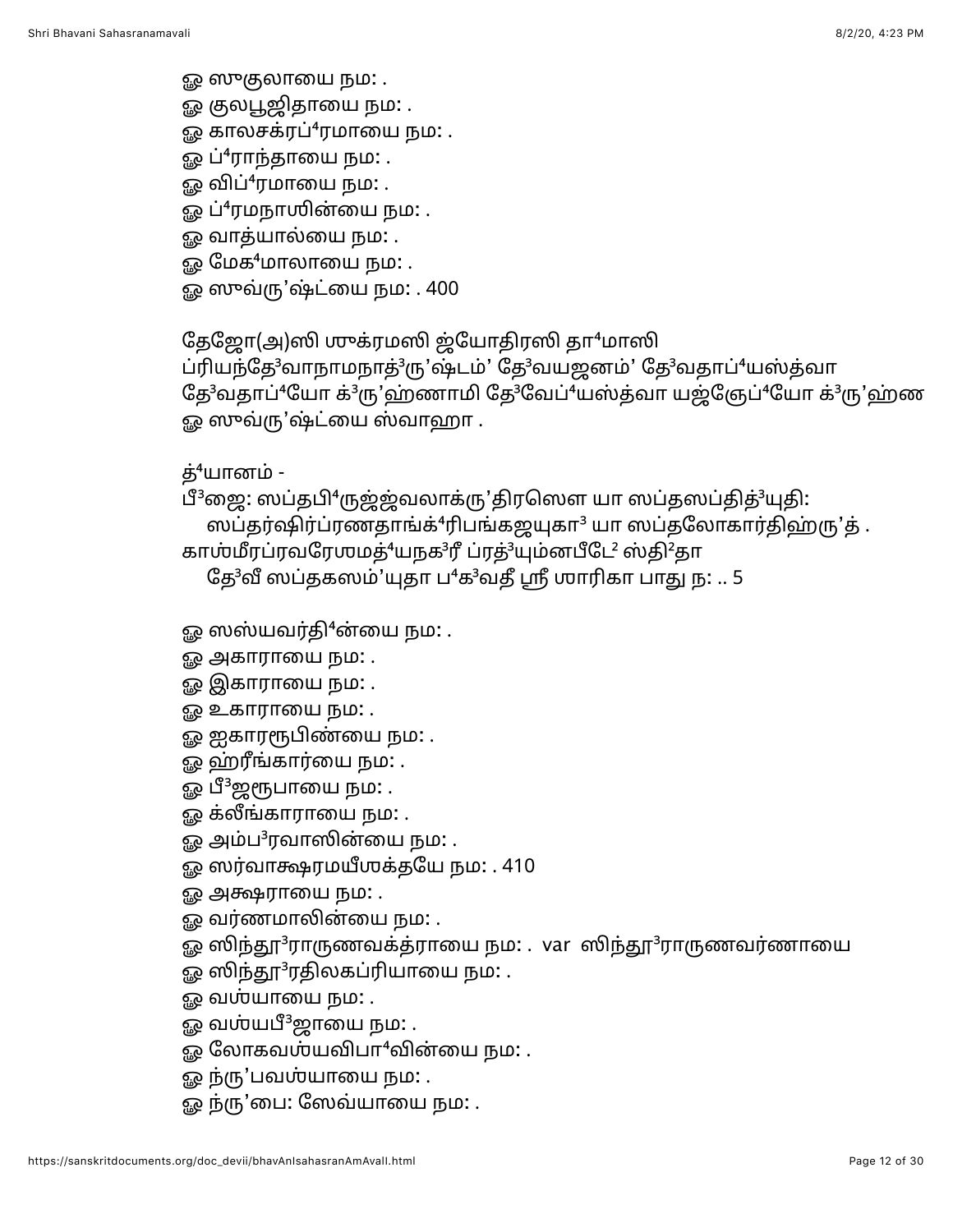ஓ ஸுகுலாயை நம: .

- ௐ குலபூஜிதாயை நம**:** .
- ஓ காலசக்ரப் $4$ ரமாயை நம $:$  .
- ஓ ப்<sup>4</sup>ராந்தாயை நம: .
- ஓ விப்<sup>4</sup>ரமாயை நம: .
- ஓ ப்<sup>4</sup>ரமநாஶின்யை நம: .
- ஓ வாத்யால்யை நம: .
- ஓ மேக<sup>4</sup>மாலாயை நம: .
- ஓ ஸுவ்ரு'ஷ்ட்யை நம: . 400

தேஜோ(அ)ஸி முுக்ரமஸி ஜ்யோதிரஸி தா<sup>4</sup>மாஸி

ப்ரியந்தே<sup>3</sup>வாநாமநாத்<sup>3</sup>ரு'ஷ்டம்' தே<sup>3</sup>வயஜனம்' தே<sup>3</sup>வதாப்<sup>4</sup>யஸ்த்வா தே<sup>3</sup>வதாப்<sup>4</sup>யோ க்<sup>3</sup>ரு'ஹ்ணாமி தே<sup>3</sup>வேப்<sup>4</sup>யஸ்த்வா யஜ்ஞேப்<sup>4</sup>யோ க்<sup>3</sup>ரு'ஹ்ண ஓ ஸுவ்ரு'ஷ்ட்யை ஸ்வாஹா .

த் $4$ யானம் -

பீ<sup>3</sup>ஜை: ஸப்தபி<sup>4</sup>ருஜ்ஜ்வலாக்ரு'திரஸௌ யா ஸப்தஸப்தித்<sup>3</sup>யுதி: ஸப்தர்ஷிர்ப்ரணதாங்க்<sup>4</sup>ரிபங்கஜயுகா<sup>3</sup> யா ஸப்தலோகார்திஹ்ரு'த். காஶ்மீரப்ரவரேஶமத்<sup>4</sup>யநக<sup>3</sup>ரீ ப்ரத்<sup>3</sup>யும்னபீடே<sup>2</sup> ஸ்தி<sup>2</sup>தா

தே<sup>3</sup>வீ ஸப்தகஸம்'யுதா ப<sup>4</sup>க<sup>3</sup>வதீ ஸ்ரீ ஶாரிகா பாது ந: .. 5

ஓ ஸஸ்யவர்தி $^4$ ன்யை நம: .

- ஓ அகாராயை நம**:** .
- ஓ இகாராயை நம**:** .
- ஓ உகாராயை நம**:** .
- ஓ ஐகாரரூபிண்யை நம: .
- ஓ ஹ்ரீங்கார்யை நம: .
- ஓ பீ<sup>3</sup>ஜரூபாயை நம: .
- ஓ க்லீங்காராயை நம**:** .
- ஓ அம்ப ${}^{3}$ ரவாஸின்யை நம: .
- ஓ ஸர்வாக்ஷரமயீஶக்தயே நம: . 410
- ஓ அக்ஷராயை நம: .
- ஓ வர்ணமாலின்யை நம: .
- ஓ ஸிந்தூ<sup>3</sup>ராருணவக்த்ராயை நம: . var ஸிந்தூ<sup>3</sup>ராருணவர்ணாயை
- ஓ ஸிந்தூ<sup>3</sup>ரதிலகப்ரியாயை நம: .
- ஓ வஶ்யாயை நம**:** .
- ஓ வஶ்யபீ<sup>3</sup>ஜாயை நம: .
- ஓ லோகவம்யவிபா<sup>4</sup>வின்யை நம: .
- ஓ ந்ரு'பவஶ்யாயை நம: .
- ஓ ந்ரு'பை: ஸேவ்யாயை நம: .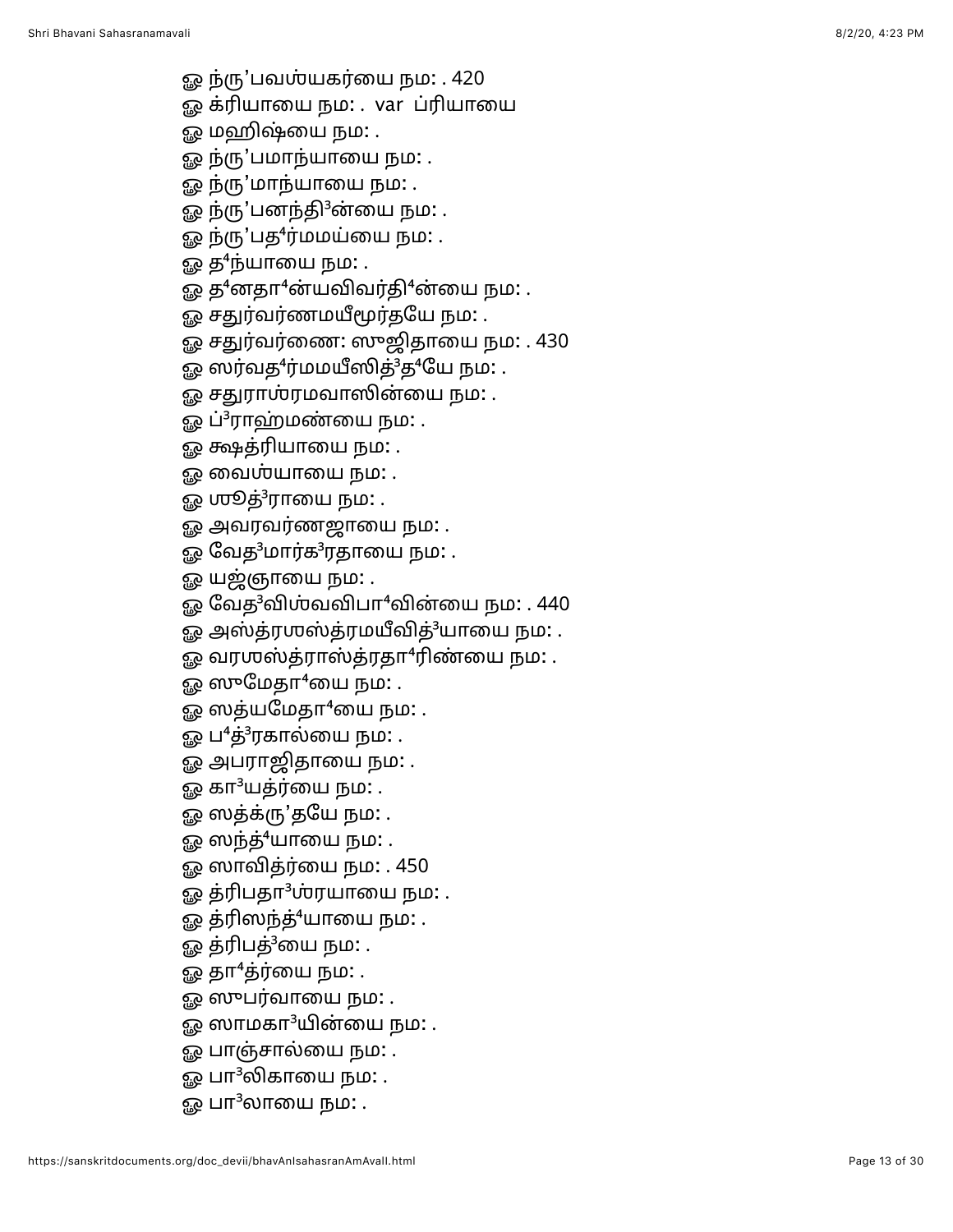- 
- 
- 
- 
- 
- 
- 
- 
- 
- 
- 
- 
- 
- 
- 
- 
- 
- 
- 
- 
- து நிறுப்படையுமான் அல்லாது நாடு . 420<br>இன்றியிலையுமான பாதுமான பாதுமான இன்றியிலையுமான பாதுமான புதுமான புதுமான புதுமான புதுமான புதுமான புதுமான புதுமான புதுமான புதுமான புதுமான புதுமான புதுமான புதுமான புதுமான புதுமான புதுமான
	-
	-
	-
	-
	-
	-
	-
	-
	-
	-
	-
	-
	-
	-
	-
	-
	-
	-
	-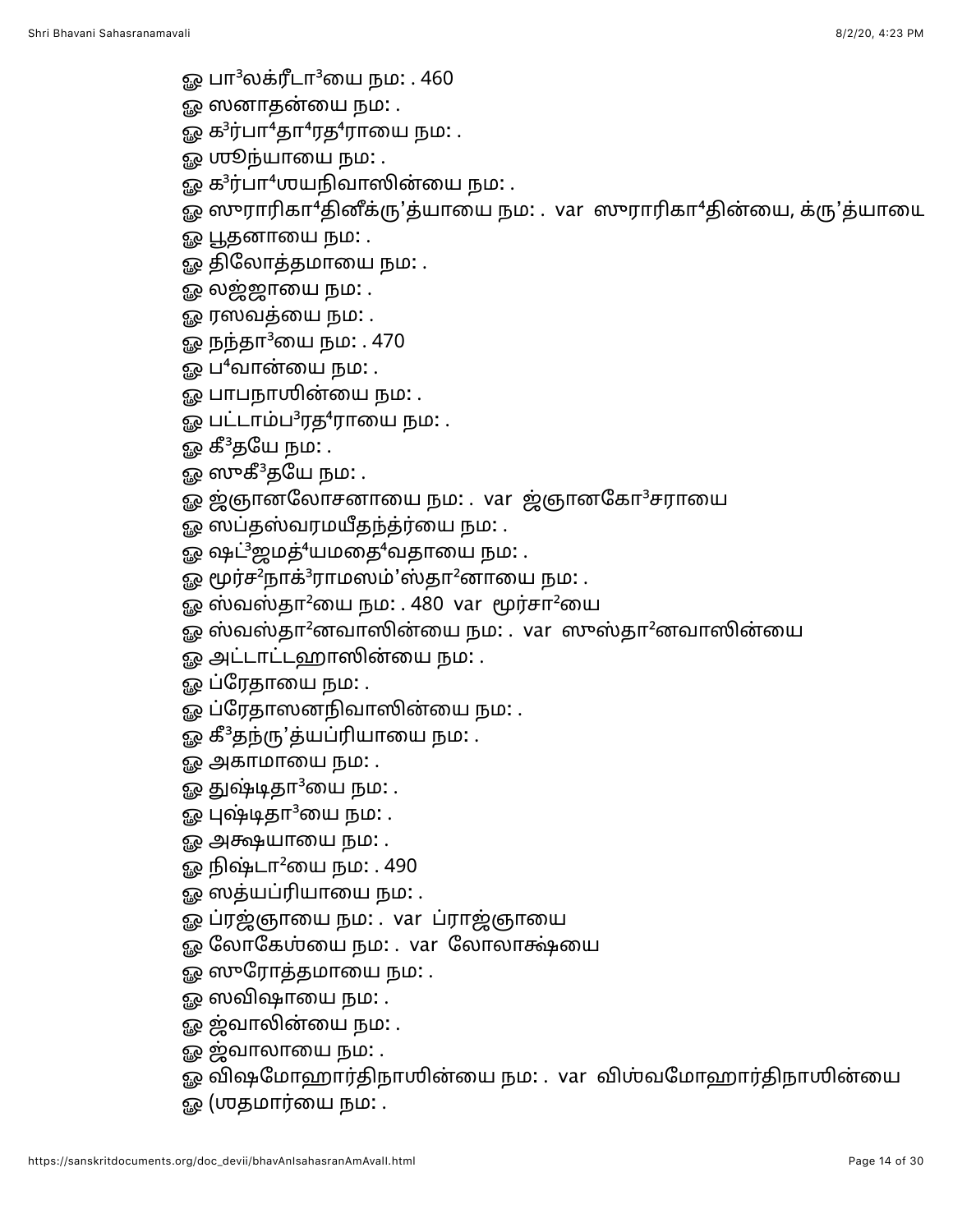- ஓ பா $^3$ லக்ரீடா $^3$ யை நம $\colon$  . 460
- ஓ ஸனாதன்யை நம: .
- ஓ க ${}^{3}$ ர்பா ${}^{4}$ தா ${}^{4}$ ரத ${}^{4}$ ராயை நம $:$  .
- ஓ **ஶூ**ந்யாயை நம: .
- ஓ க<sup>3</sup>ர்பா<sup>4</sup>ஶயநிவாஸின்யை நம: .
- $\bar{g}_{\rm R}$  ஸுராரிகா $^4$ தினீக்ரு'த்யாயை நம: . var ஸுராரிகா $^4$ தின்யை, க்ரு'த்யாயை
- ஓ பூதனாயை நம: .
- ஓ திலோத்தமாயை நம: .
- ஓ லஜ்ஜாயை நம: .
- ௐ ரஸவத்யை நம: .
- <u>ஓ</u> நந்தா<sup>3</sup>யை நம: . 470
- ஓ ப $\cdot$ வான்யை நம $:$  .
- ஓ பாபநாஶின்யை நம: .
- ஓ பட்டாம்ப<sup>3</sup>ரத<sup>4</sup>ராயை நம: .
- ஓ கீ<sup>3</sup>தயே நம: .
- ஓ ஸுகீ<sup>3</sup>தயே நம: .
- ஓ ஜ்ஞானலோசனாயை நம: . var ஜ்ஞானகோ<sup>3</sup>சராயை
- ஓ ஸப்தஸ்வரமயீதந்த்ர்யை நம: .
- ஓ ஷட்<sup>3</sup>ஜமத்<sup>4</sup>யமதை<sup>4</sup>வதாயை நம: .
- ஓ மூர்ச<sup>2</sup>நாக்<sup>3</sup>ராமஸம்'ஸ்தா<sup>2</sup>னாயை நம: .
- ஓ ஸ்வஸ்தா<sup>2</sup>யை நம: . 480 var மூர்சா<sup>2</sup>யை
- $\bar{g}$ ஓ ஸ்வஸ்தா $^2$ னவாஸின்யை நம $:$ . var  $\:$ ஸுஸ்தா $^2$ னவாஸின்யை
- ஓ அட்டாட்டஹாஸின்யை நம: .
- ஓ ப்ரேதாயை நம: .
- ஓ ப்ரேதாஸனநிவாஸின்யை நம: .
- ஓ கீ<sup>3</sup>தந்ரு'த்யப்ரியாயை நம: .
- ஓ அகாமாயை நம: .
- ஓ துஷ்டிதா $^3$ யை நம $\colon$  .
- ஓ புஷ்டிதா $3$ யை நம $:$  .
- ஓ அக்ஷயாயை நம: .
- $\Omega$ ஓ நிஷ்டா $^2$ யை நம $:$  . 490
- ஓ ஸத்யப்ரியாயை நம: .
- ஓ ப்ரஜ்ஞாயை நம: . var ப்ராஜ்ஞாயை
- ஓ லோகேஶ்யை நம: . var லோலாக்ஷ்யை
- ஓ ஸுரோத்தமாயை நம: .
- ஓ ஸவிஷாயை நம: .
- ஓ ஜ்வாலின்யை நம: .
- ஓ ஜ்வாலாயை நம: .
- ஓ விஷமோஹார்திநாஶின்யை நம: . var விஶ்வமோஹார்திநாஶின்யை
- ஓ (ஶதமார்யை நம: .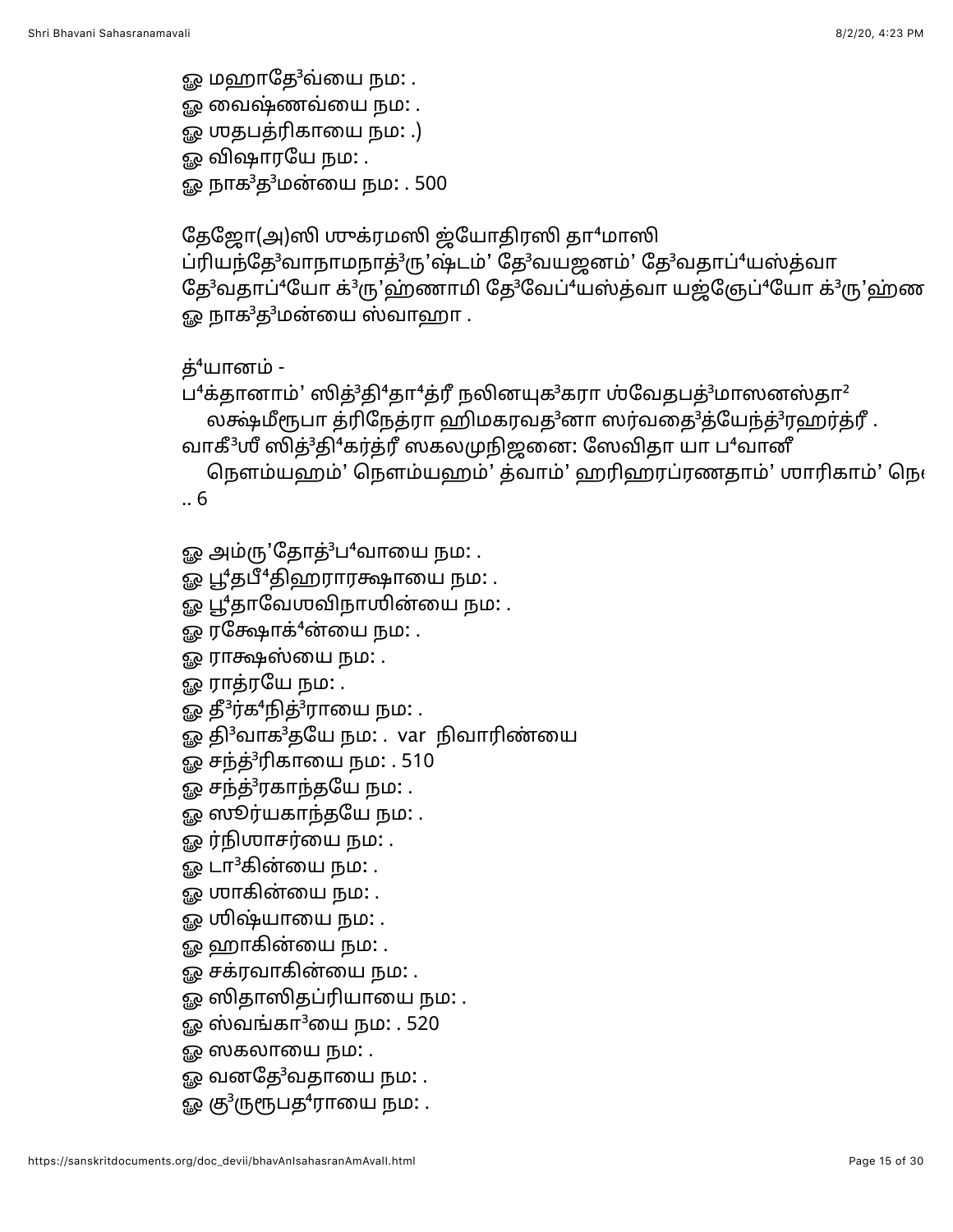ஓ மஹாதே<sup>3</sup>வ்யை நம: . <u>ஓ</u> வைஷ்ணவ்யை நம: . ஓ ஶதபத்ரிகாயை நம: .) <u>ஓ</u> விஷாரயே நம: . ஓ நாக<sup>3</sup>த<sup>3</sup>மன்யை நம: . 500

தேஜோ(அ)ஸி முக்ரமஸி ஜ்யோதிரஸி தா<sup>4</sup>மாஸி ப்ரியந்தே<sup>3</sup>வாநாமநாத்<sup>3</sup>ரு'ஷ்டம்' தே<sup>3</sup>வயஜனம்' தே<sup>3</sup>வதாப்<sup>4</sup>யஸ்த்வா தே<sup>3</sup>வதாப்<sup>4</sup>யோ க்<sup>3</sup>ரு'ஹ்ணாமி தே<sup>3</sup>வேப்<sup>4</sup>யஸ்த்வா யஜ்ஞேப்<sup>4</sup>யோ க்<sup>3</sup>ரு'ஹ்ண ஓ நாக $^3$ த $^3$ மன்யை ஸ்வாஹா .

லக்ஷ்மீரூபா த்ரிநேத்ரா ஹிமகரவத<sup>3</sup>னா ஸர்வதை<sup>3</sup>த்யேந்த்<sup>3</sup>ரஹர்த்ரீ.

த் $4$ யானம் - $\mu^4$ க்தானாம்' ஸித்<sup>3</sup>தி<sup>4</sup>தா<sup>4</sup>த்ரீ நலினயுக<sup>3</sup>கரா ஶ்வேதபத்<sup>3</sup>மாஸனஸ்தா<sup>2</sup>

வாகீ<sup>3</sup>ஶீ ஸித்<sup>3</sup>தி<sup>4</sup>கர்த்ரீ ஸகலமுநிஜனை: ஸேவிதா யா ப<sup>4</sup>வானீ நௌம்யஹம்' நௌம்யஹம்' த்வாம்' ஹரிஹரப்ரணதாம்' ஶாரிகாம்' நெ $\epsilon$ 

.. 6

ஓ பூ<sup>4</sup>தாவேஶவிநாஶின்யை நம: .

ஓ தி<sup>3</sup>வாக<sup>3</sup>தயே நம: . var நிவாரிண்யை

ஓ பூ $4$ தபீ $4$ திஹராரக்ஷாயை நம $:$  .

ஓ அம்ரு'தோத்<sup>3</sup>ப<sup>4</sup>வாயை நம: .

ஓ ரக்ஷோக் $4$ ன்யை நம: . ஓ ராக்ஷஸ்யை நம: .

ஓ தீ ${}^{3}$ ர்க ${}^{4}$ நித் ${}^{3}$ ராயை நம $\colon$  .

ஓ சந்த்<sup>3</sup>ரிகாயை நம: . 510 ஓ சந்த்<sup>3</sup>ரகாந்தயே நம: . ஓ ஸூர்யகாந்தயே நம: . ஓ ர்நிஶாசர்யை நம**:** . ஓ டா ${}^{3}$ கின்யை நம $:$  . <u>ஓ</u> ஶாகின்யை நம: . ஓ ஶிஷ்யாயை நம: . ஓ ஹாகின்யை நம: . ஓ சக்ரவாகின்யை நம: .

ஓ ஸிதாஸிதப்ரியாயை நம: .  $\Omega$  லைங்கா $3$ யை நம $: . 520$ 

ஓ ஸகலாயை நம: .

ஓ வனதே<sup>3</sup>வதாயை நம: . ஓ கு $\rm{^3}$ ருரூபத $\rm{^4}$ ராயை நம $\rm{.}$  .

ஓ ராத்ரயே நம: .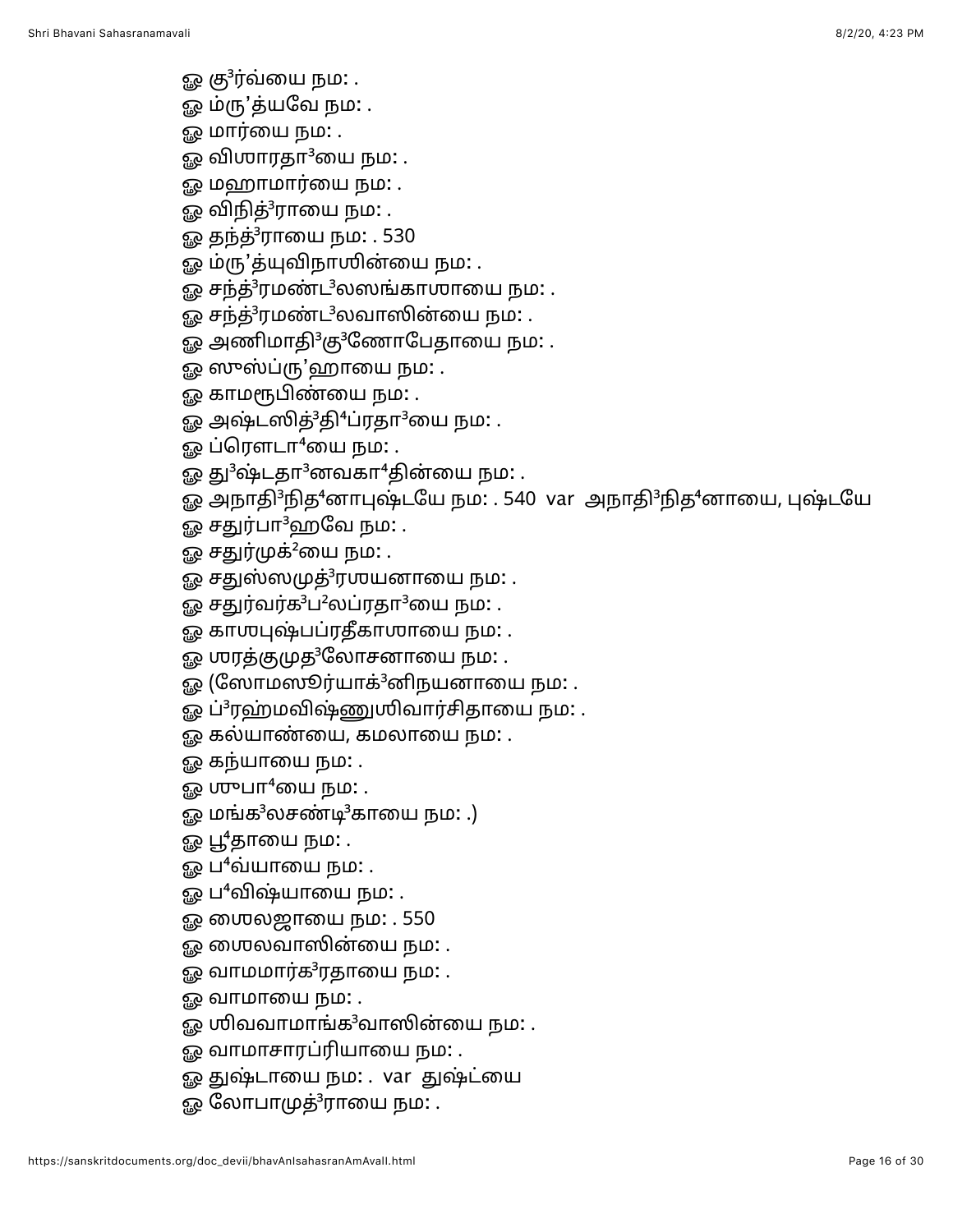- ஓ கு $3$ ர்வ்யை நம $:$  .
- ஓ ம்ரு'த்யவே நம: .
- 
- ஓ மார்யை நம: .
- 
- 
- 
- 
- 
- 
- 
- 
- 
- 
- 
- 
- 
- 
- 
- ஓ விஶாரதா $^3$ யை நம $\colon$  .
	-
	-
	-
	-
	-
	-

ஓ தந்த்<sup>3</sup>ராயை நம: . 530

ஓ ம்ரு'த்யுவிநாயின்யை நம: .

ஓ ஸுஸ்ப்ரு'ஹாயை நம: . ஓ காமரூபிண்யை நம**:** .

ஓ ப்ரௌடா $4$ யை நம $:$  .

ஓ சதுர்பா<sup>3</sup>ஹவே நம: . ஓ சதுர்முக்<sup>2</sup>யை நம: .

ஓ சந்த்<sup>3</sup>ரமண்ட<sup>3</sup>லஸங்காஶாயை நம: . ஓ சந்த்<sup>3</sup>ரமண்ட<sup>3</sup>லவாஸின்யை நம: . ஓ அணிமாதி<sup>3</sup>கு<sup>3</sup>ணோபேதாயை நம: .

- 
- 
- 
- 
- 
- 
- 
- 
- 
- 
- 
- 
- 
- 
- 
- 
- 
- 
- 
- 
- 
- 
- 
- <u>ஓ</u> மஹாமார்யை நம: .

- ஓ சதுஸ்ஸமுத்<sup>3</sup>ரஶயனாயை நம: .
- ஓ சதுர்வர்க<sup>3</sup>ப<sup>2</sup>லப்ரதா<sup>3</sup>யை நம: .

ஓ அஷ்டஸித்<sup>3</sup>தி<sup>4</sup>ப்ரதா<sup>3</sup>யை நம: .

ஓ து $3$ ஷ்டதா $3$ னவகா $4$ தின்யை நம $:$  .

ஓ அநாதி<sup>3</sup>நித<sup>4</sup>னாபுஷ்டயே நம: . 540 var அநாதி<sup>3</sup>நித<sup>4</sup>னாயை, புஷ்டயே

- ஓ காஶபுஷ்பப்ரதீகாஶாயை நம: .
- ஓ ஶரத்குமுத<sup>3</sup>லோசனாயை நம: .
- ஓ (ஸோமஸூர்யாக்<sup>3</sup>னிநயனாயை நம: .
- ஓ ப்<sup>3</sup>ரஹ்மவிஷ்ணுயிவார்சிதாயை நம: .

https://sanskritdocuments.org/doc\_devii/bhavAnIsahasranAmAvalI.html Page 16 of 30

- ஓ கல்யாண்யை, கமலாயை நம: .
- ஓ கந்யாயை நம**:** .
- ஓ ஶுபா $^4$ யை நம $:$  .
- ஓ மங்க $3$ லசண்டி $3$ காயை நம $:$  .)
- ஓ பூ $4$ தாயை நம $:$  .
- ஓ ப $^4$ வ்யாயை நம $\colon$  .

ஓ வாமாயை நம: .

- ஓ ப<sup>4</sup>விஷ்யாயை நம: .
- ஓ மைல்ஜாயை நம: . 550

ஓ ரைலவாஸின்யை நம: . ஓ வாமமார்க ${}^{3}$ ரதாயை நம $:$  .

ஓ வாமாசாரப்ரியாயை நம: .

ஓ லோபாமுத்<sup>3</sup>ராயை நம: .

ஓ ஶிவவாமாங்க ${}^{3}$ வாஸின்யை நம: .

ஓ துஷ்டாயை நம: . var துஷ்ட்யை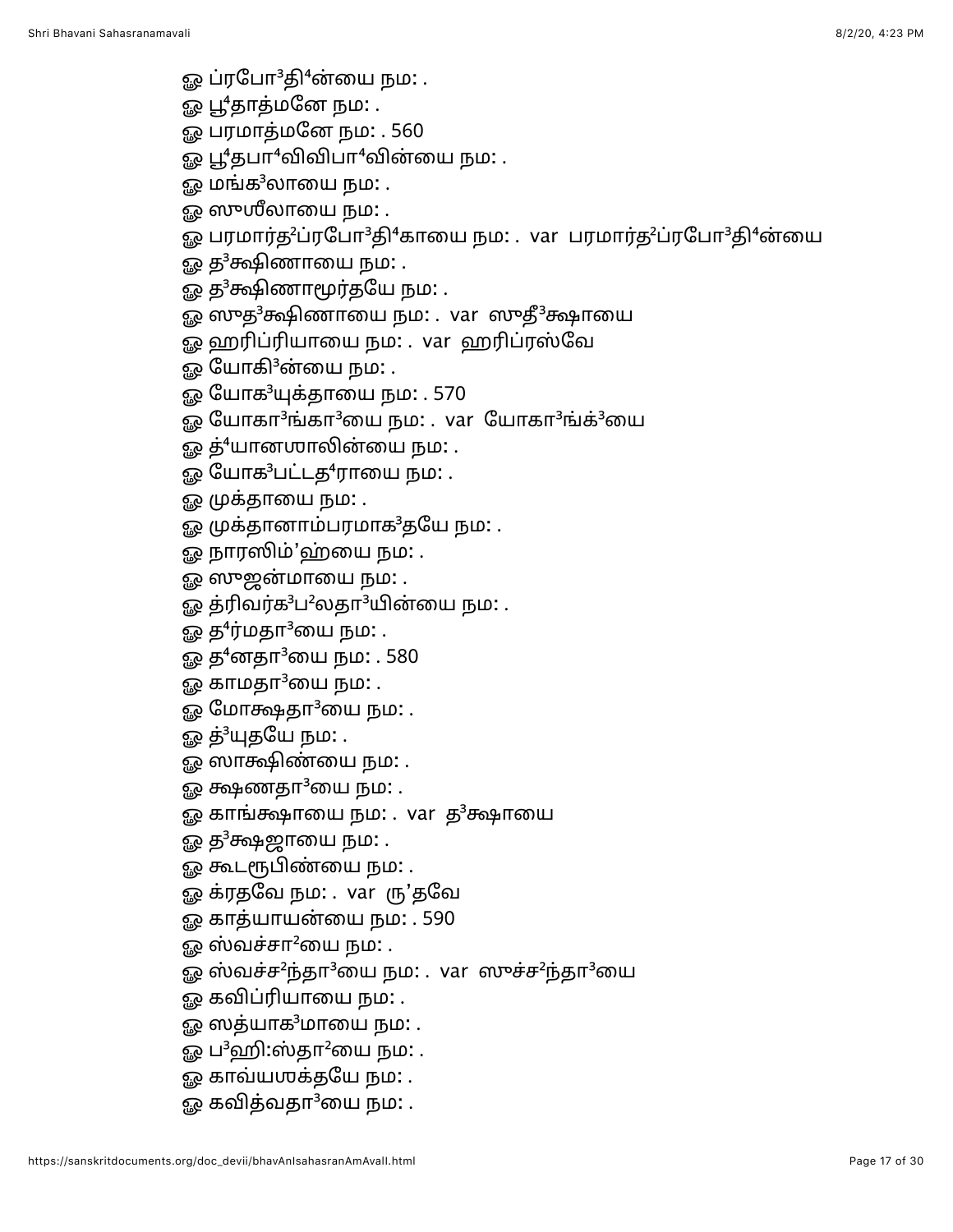- ஓ ப்ரபோ ${}^{3}$ தி ${}^{4}$ ன்யை நம $:\, .$
- ஓ பூ<sup>4</sup>தாத்மனே நம: .
- ஓ பரமாத்மனே நம: . 560
- ஓ பூ $4$ தபா $4$ விவிபா $4$ வின்யை நம $:$  .
- ஓ மங்க $^3$ லாயை நம $\colon$  .
- ஓ ஸுஶீலாயை நம: .
- ஓ பரமார்த<sup>2</sup>ப்ரபோ<sup>3</sup>தி<sup>4</sup>காயை நம: . var பரமார்த<sup>2</sup>ப்ரபோ<sup>3</sup>தி<sup>4</sup>ன்யை
- ஓ த ${}^{3}$ க்ஷிணாயை நம: .
- ஓ த<sup>3</sup>க்ஷிணாமூர்தயே நம: .
- ஓ ஸுத<sup>3</sup>க்ஷிணாயை நம: . var ஸுதீ<sup>3</sup>க்ஷாயை
- ஓ ஹரிப்ரியாயை நம: . var ஹரிப்ரஸ்வே
- ஓ யோகி<sup>3</sup>ன்யை நம: .
- ஓ யோக<sup>3</sup>யுக்தாயை நம: . 570
- ஓ யோகா<sup>3</sup>ங்கா<sup>3</sup>யை நம: . var யோகா<sup>3</sup>ங்க்<sup>3</sup>யை
- ஓ த்<sup>4</sup>யானஶாலின்யை நம: .
- ஓ யோக<sup>3</sup>பட்டத<sup>4</sup>ராயை நம: .
- ஓ முக்தாயை நம: .
- ஓ முக்தானாம்பரமாக<sup>3</sup>தயே நம: .
- ஓ நாரஸிம்'ஹ்யை நம: .
- ஓ ஸுஜன்மாயை நம: .
- ஓ த்ரிவர்க<sup>3</sup>ப<sup>2</sup>லதா<sup>3</sup>யின்யை நம: .
- ஓ த<sup>4</sup>ர்மதா<sup>3</sup>யை நம: .
- ஓ த $4$ னதா $3$ யை நம $: . 580$
- ஓ காமதா $3$ யை நம $:$  .
- ஓ மோக்ஷதா $3$ யை நம $:$  .
- ஓ த்<sup>3</sup>யுதயே நம: .
- <u>ஓ</u> ஸாக்ஷிண்யை நம: .
- ஓ க்ஷணதா<sup>3</sup>யை நம: .
- ஓ காங்க்ஷாயை நம: . var த<sup>3</sup>க்ஷாயை
- ஓ த<sup>3</sup>க்ஷஜாயை நம: .
- ஓ கூடரூபிண்யை நம: .
- ஓ க்ரதவே நம: . var ரு'தவே
- ஓ காத்யாயன்யை நம: . 590
- ஓ ஸ்வச்சா $^2$ யை நம $\colon$  .
- ஓ ஸ்வச்ச<sup>2</sup>ந்தா<sup>3</sup>யை நம: . var ஸுச்ச<sup>2</sup>ந்தா<sup>3</sup>யை
- ஓ கவிப்ரியாயை நம: .
- $\Omega$  லைத்யாக $^3$ மாயை நம $\Omega$  .
- ஓ ப $^3$ ஹி:ஸ்தா $^2$ யை நம $:$  .
- ஓ காவ்ய**ஶக்தயே நம:** .
- ஓ கவித்வதா $3$ யை நம $\colon$ .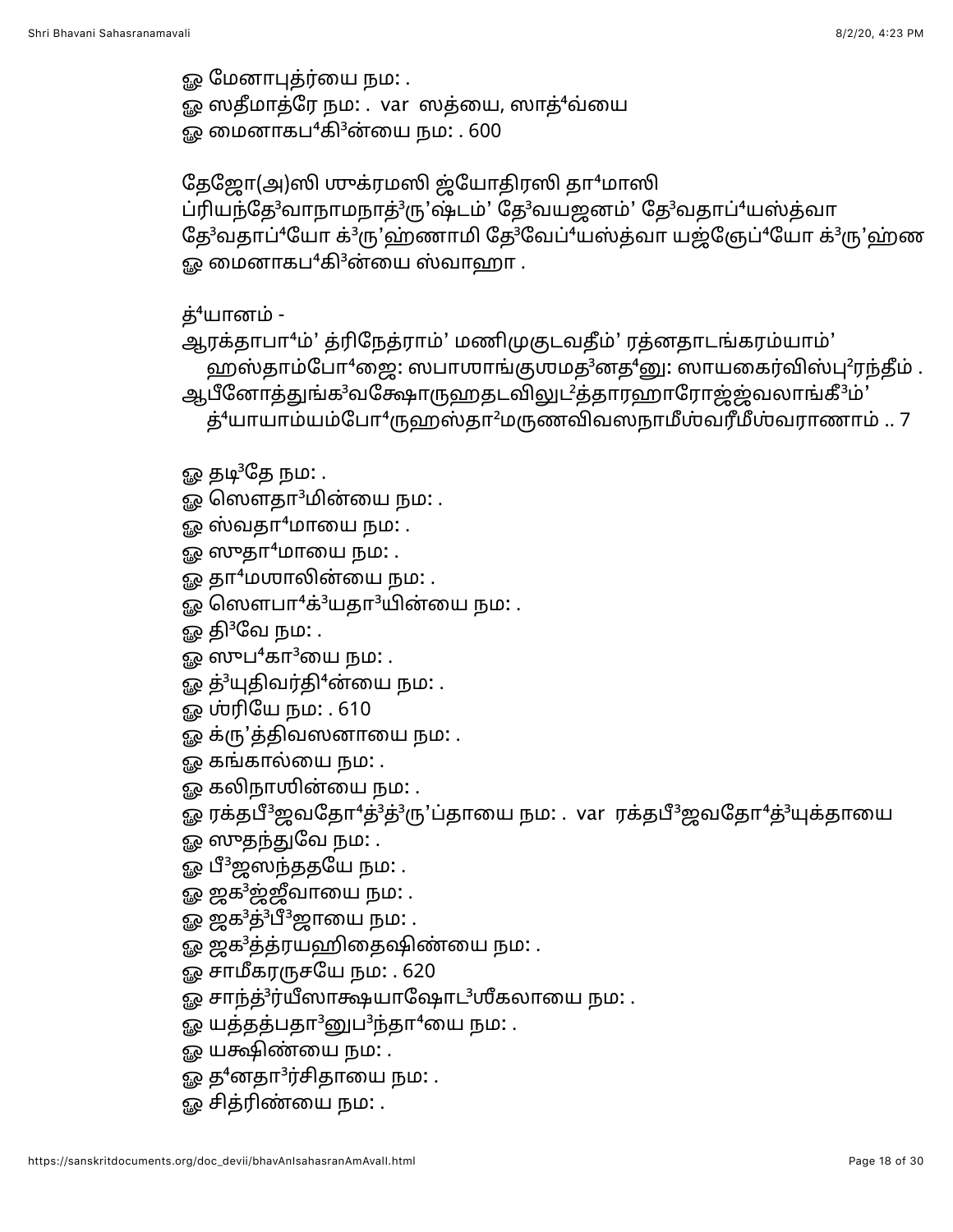ஓ மேனாபுத்ர்யை நம: . ஓ ஸதீமாத்ரே நம: . var ஸத்யை, ஸாத்<sup>4</sup>வ்யை ஓ மைனாகப $4$ கி $3$ ன்யை நம $\cdot$  . 600

தேஜோ(அ)ஸி முக்ரமஸி ஜ்யோதிரஸி தா<sup>4</sup>மாஸி ப்ரியந்தே<sup>3</sup>வாநாமநாத்<sup>3</sup>ரு'ஷ்டம்' தே<sup>3</sup>வயஜனம்' தே<sup>3</sup>வதாப்<sup>4</sup>யஸ்த்வா தே<sup>3</sup>வதாப்<sup>4</sup>யோ க்<sup>3</sup>ரு'ஹ்ணாமி தே<sup>3</sup>வேப்<sup>4</sup>யஸ்த்வா யஜ்ஞேப்<sup>4</sup>யோ க்<sup>3</sup>ரு'ஹ்ண  $\Omega$  மைனாகப $^4$ கி $^3$ ன்யை ஸ்வாஹா .

த் $4$ யானம் -

ஆரக்தாபா<sup>4</sup>ம்' த்ரிநேத்ராம்' மணிமுகுடவதீம்' ரத்னதாடங்கரம்யாம்' ஹஸ்தாம்போ $^4$ ஜை: ஸபாஶாங்குஶமத $^3$ னத $^4$ னு: ஸாயகைர்விஸ்பு $^2$ ரந்தீம் .

ஆபீனோத்துங்க<sup>3</sup>வக்ஷோருஹதடவிலுட<sup>2</sup>த்தாரஹாரோஜ்ஜ்வலாங்கீ<sup>3</sup>ம்'  $\dot{B}^4$ யாயாம்யம்போ $^4$ ருஹஸ்தா $^2$ மருணவிவஸநாமீஸ்வரீமீஸ்வராணாம் .. 7

- ஓ தடி<sup>3</sup>தே நம: .
- ஓ ஸௌதா<sup>3</sup>மின்யை நம: .
- $\mathfrak{g}_{\mathcal{R}}$  ஸ்வதா $4$ மாயை நம $:$  .
- $\mathbb{Q}$  ஸுதா $\mathsf{1}$ மாயை நம $:$  .
- ஓ தா<sup>4</sup>மமாலின்யை நம: .
- ஓ ஸௌபா $4$ க் $3$ யதா $3$ யின்யை நம $\colon$ .
- ௐ தி ${}^{3}$ வே நம $:$  .
- ஓ ஸுப $4$ கா $3$ யை நம $:$  .
- ஓ த்<sup>3</sup>யுதிவர்தி<sup>4</sup>ன்யை நம: .
- ஓ ஶ்ரியே நம: . 610
- ஓ க்ரு'த்திவஸனாயை நம: .
- <u>ஓ</u> கங்கால்யை நம: .
- ஓ கலிநாஶின்யை நம: .
- ஓ ரக்தபீ<sup>3</sup>ஜவதோ<sup>4</sup>த்<sup>3</sup>த்3ரு'ப்தாயை நம: . var ரக்தபீ<sup>3</sup>ஜவதோ<sup>4</sup>த்<sup>3</sup>யுக்தாயை
- ஓ ஸுதந்துவே நம: .
- ஓ பீ<sup>3</sup>ஜஸந்ததயே நம: .
- ஓ ஜக<sup>3</sup>ஜ்ஜீவாயை நம: .
- ஓ ஜக<sup>3</sup>த்<sup>3</sup>பீ<sup>3</sup>ஜாயை நம: .
- ஓ ஜக<sup>3</sup>த்த்ரயஹிதைஷிண்யை நம: .
- ஓ சாமீகரருசயே நம: . 620
- ஓ சாந்த்<sup>3</sup>ர்யீஸாக்ஷயாஷோட<sup>3</sup>ஶீகலாயை நம: .
- ஓ யத்தத்பதா $^3$ னுப $^3$ ந்தா $^4$ யை நம: .
- ஓ யக்ஷிண்யை நம: .
- ஓ த $4$ னதா $3$ ர்சிதாயை நம $:$  .
- ஓ சித்ரிண்யை நம: .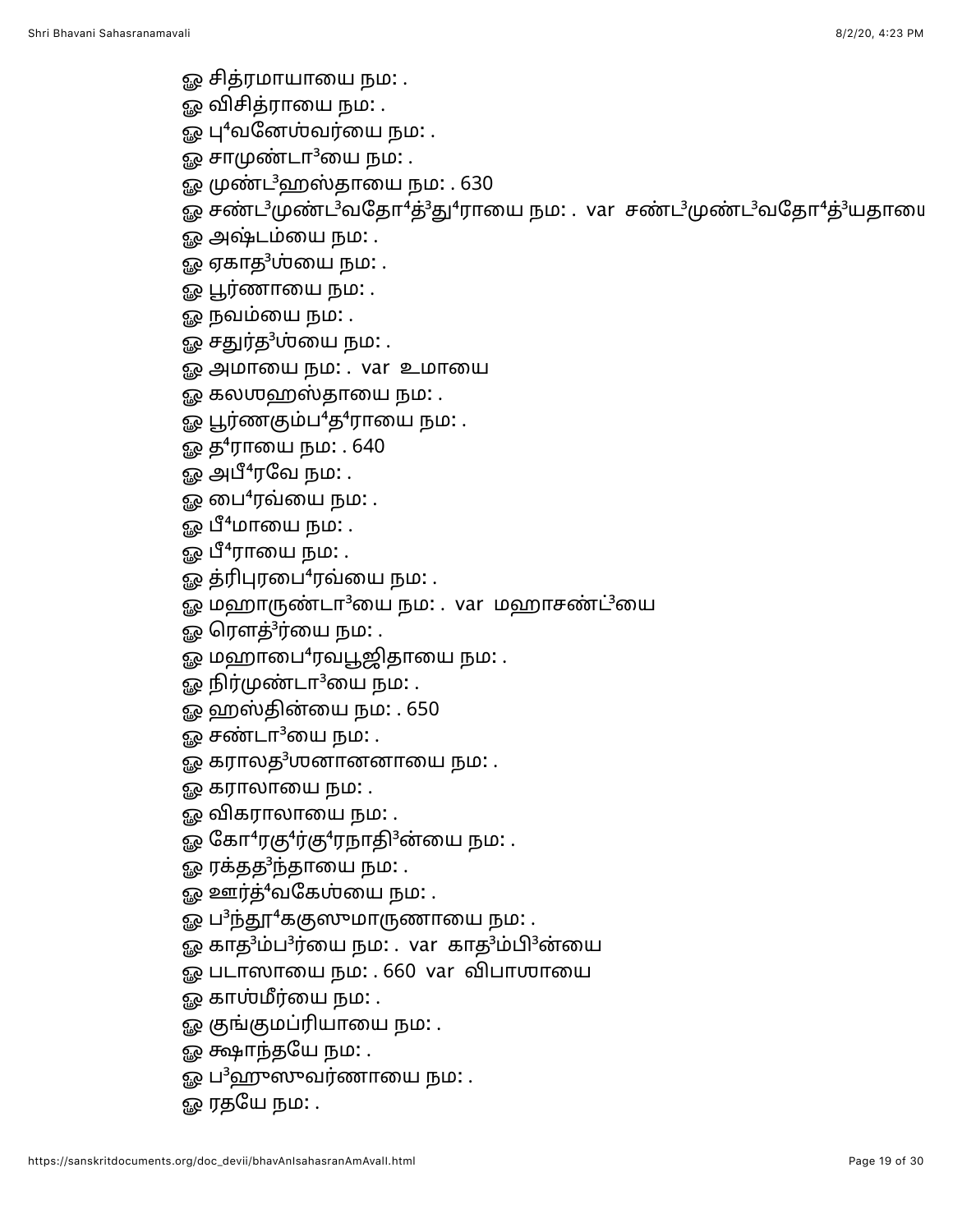- ஓ சித்ரமாயாயை நம: .
- ஓ விசித்ராயை நம**:** .
- ஓ பு $4$ வனேஶ்வர்யை நம $:$  .
- ஓ சாமுண்டா $^3$ யை நம $\colon$ .
- ஓ முண்ட<sup>3</sup>ஹஸ்தாயை நம: . 630
- ஓ சண்ட<sup>3</sup>முண்ட<sup>3</sup>வதோ<sup>4</sup>த்<sup>3</sup>து<sup>4</sup>ராயை நம: . var சண்ட<sup>3</sup>முண்ட<sup>3</sup>வதோ<sup>4</sup>த்<sup>3</sup>யதாயை
- ஓ அஷ்டம்யை நம: .
- ஓ ஏகாத<sup>3</sup>ஶ்யை நம: .
- ஓ பூர்ணாயை நம: .
- ஓ நவம்யை நம: .
- ஓ சதுர்த<sup>3</sup>ஶ்யை நம: .
- ஓ அமாயை நம: . var உமாயை
- ஓ கலஶஹஸ்தாயை நம: .
- ஓ பூர்ணகும்ப<sup>4</sup>த<sup>4</sup>ராயை நம: .
- ஓ த<sup>4</sup>ராயை நம: . 640
- ஓ அபீ<sup>4</sup>ரவே நம: .
- ஓ பை<sup>4</sup>ரவ்யை நம: .
- ஓ பீ<sup>4</sup>மாயை நம: .
- ஓ பீ<sup>4</sup>ராயை நம: .
- ஓ த்ரிபுரபை<sup>4</sup>ரவ்யை நம: .
- ஓ மஹாருண்டா<sup>3</sup>யை நம: . var மஹாசண்ட்<sup>3</sup>யை
- ஓ ரௌத்<sup>3</sup>ர்யை நம: .
- $\Omega$  மஹாபை $^4$ ரவபூஜிதாயை நம $:$  .
- ஓ நிர்முண்டா $3$ யை நம: .
- ஓ ஹஸ்தின்யை நம: . 650
- $\mathbb{R}^2$  சண்டா $^3$ யை நம $\colon$ .
- ஓ கராலத $3$ ஶனானனாயை நம $:$  .
- ஓ கராலாயை நம: .
- <u>ஓ</u> விகராலாயை நம: .
- ஓ கோ<sup>4</sup>ரகு<sup>4</sup>ர்கு<sup>4</sup>ரநாதி<sup>3</sup>ன்யை நம: .
- ஓ ரக்தத<sup>3</sup>ந்தாயை நம: .
- ஓ ஊர்த்<sup>4</sup>வகேஶ்யை நம: .
- ஓ ப<sup>3</sup>ந்தூ<sup>4</sup>ககுஸுமாருணாயை நம: .
- ஓ காத<sup>3</sup>ம்ப<sup>3</sup>ர்யை நம: . var காத<sup>3</sup>ம்பி<sup>3</sup>ன்யை
- ஓ படாஸாயை நம: . 660 var விபாஶாயை
- ஓ காஶ்மீர்யை நம**:** .
- ஓ குங்குமப்ரியாயை நம: .
- ஓ க்ஷாந்தயே நம: .
- ஓ ப $^3$ ஹுஸுவர்ணாயை நம: .
- ஓ ரதயே நம: .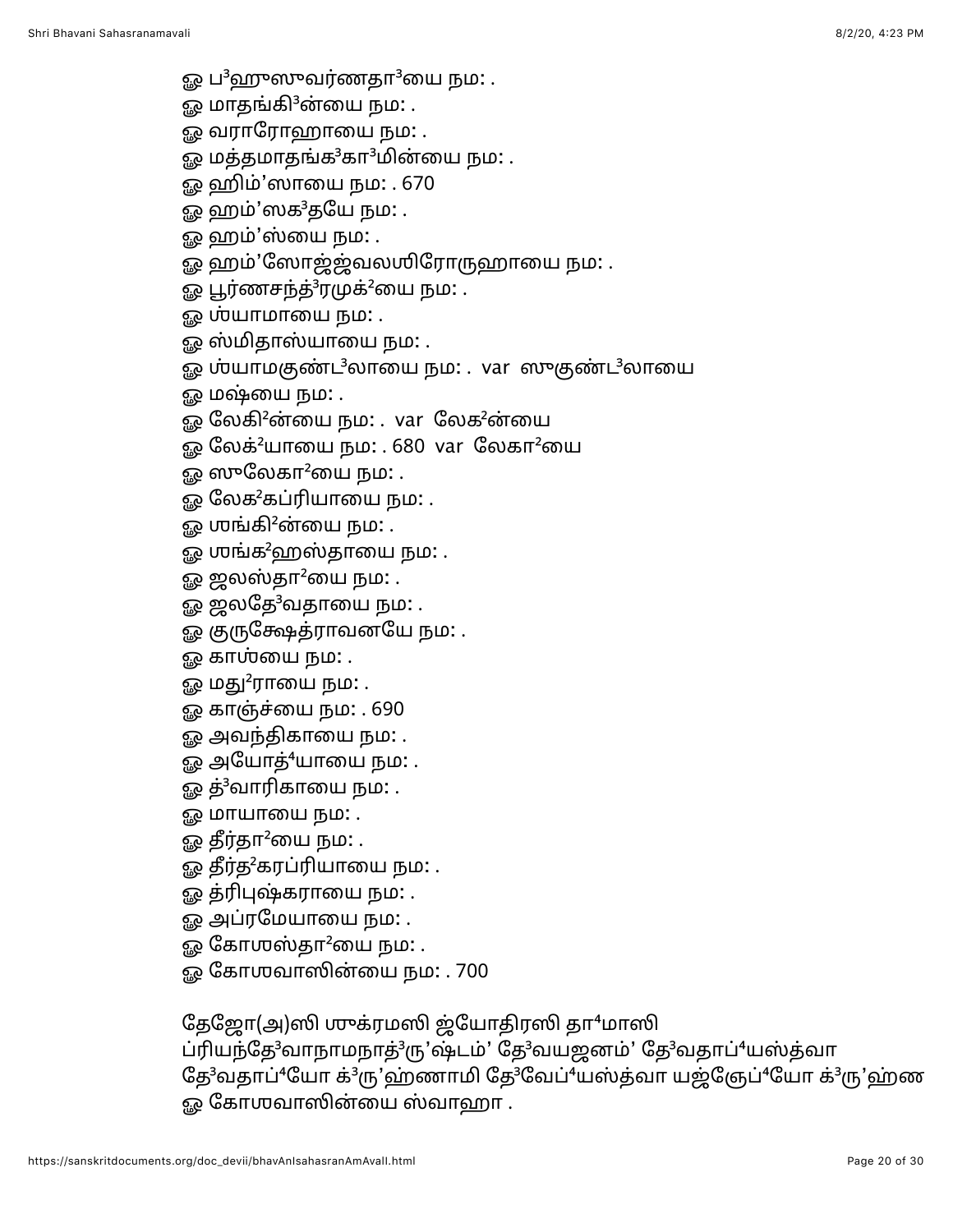- ஓ ப<sup>3</sup>ஹுஸுவர்ணதா<sup>3</sup>யை நம: .
- ஓ மாதங்கி<sup>3</sup>ன்யை நம: .
- <u>ஓ</u> வராரோஹாயை நம: .
- ஓ மத்தமாதங்க $3$ கா $3$ மின்யை நம $:$  .
- ஓ ஹிம்'ஸாயை நம: . 670
- ஓ ஹம்'ஸக<sup>3</sup>தயே நம: .
- ஓ ஹம்'ஸ்யை நம: .
- ஓ ஹம்'ஸோஜ்ஜ்வலஶிரோருஹாயை நம: .
- ஓ பூர்ணசந்த்<sup>3</sup>ரமுக்<sup>2</sup>யை நம: .
- ஓ ஶ்யாமாயை நம: .
- ஓ ஸ்மிதாஸ்யாயை நம: .
- ஓ ஶ்யாமகுண்ட<sup>3</sup>லாயை நம: . var ஸுகுண்ட<sup>3</sup>லாயை
- ஓ மஷ்யை நம: .
- ஓ லேகி<sup>2</sup>ன்யை நம: . var லேக<sup>2</sup>ன்யை
- ஓ லேக்<sup>2</sup>யாயை நம: . 680 var லேகா<sup>2</sup>யை
- $\mathbb{R}^2$  ஸுலேகா $^2$ யை நம $:$  .
- <u>ஓ</u> லேக<sup>2</sup>கப்ரியாயை நம: .
- ஓ ஶங்கி $^2$ ன்யை நம $:$  .
- ஓ ஶங்க<sup>2</sup>ஹஸ்தாயை நம: .
- ஓ ஜலஸ்தா $^2$ யை நம $:$  .
- ஓ ஜலதே $3$ வதாயை நம $:$  .
- ஓ குருக்ஷேத்ராவனயே நம: .
- ஓ கா**ஶ்**யை நம: .
- ஓ மது $^2$ ராயை நம $\colon$  .
- ஓ காஞ்ச்யை நம: . 690
- ஓ அவந்திகாயை நம: .
- ஓ அயோத்<sup>4</sup>யாயை நம: .
- ஓ த்<sup>3</sup>வாரிகாயை நம: .
- ஓ மாயாயை நம**:** .
- ஓ தீர்தா $^2$ யை நம $:$  .
- ஓ தீர்த<sup>2</sup>கரப்ரியாயை நம: .
- ஓ த்ரிபுஷ்கராயை நம: .
- ஓ அப்ரமேயாயை நம: .
- $\mathbb{G}$  கோஶஸ்தா $^2$ யை நம $\colon$ .
- <u>ஓ</u> கோஶவாஸின்யை நம: . 700

தேஜோ(அ)ஸி முக்ரமஸி ஜ்யோதிரஸி தா<sup>4</sup>மாஸி

ப்ரியந்தே<sup>3</sup>வாநாமநாத்<sup>3</sup>ரு'ஷ்டம்' தே<sup>3</sup>வயஜனம்' தே<sup>3</sup>வதாப்<sup>4</sup>யஸ்த்வா தே<sup>3</sup>வதாப்<sup>4</sup>யோ க்<sup>3</sup>ரு'ஹ்ணாமி தே<sup>3</sup>வேப்<sup>4</sup>யஸ்த்வா யஜ்ஞேப்<sup>4</sup>யோ க்<sup>3</sup>ரு'ஹ்ண ஓ கோஶவாஸின்யை ஸ்வாஹா .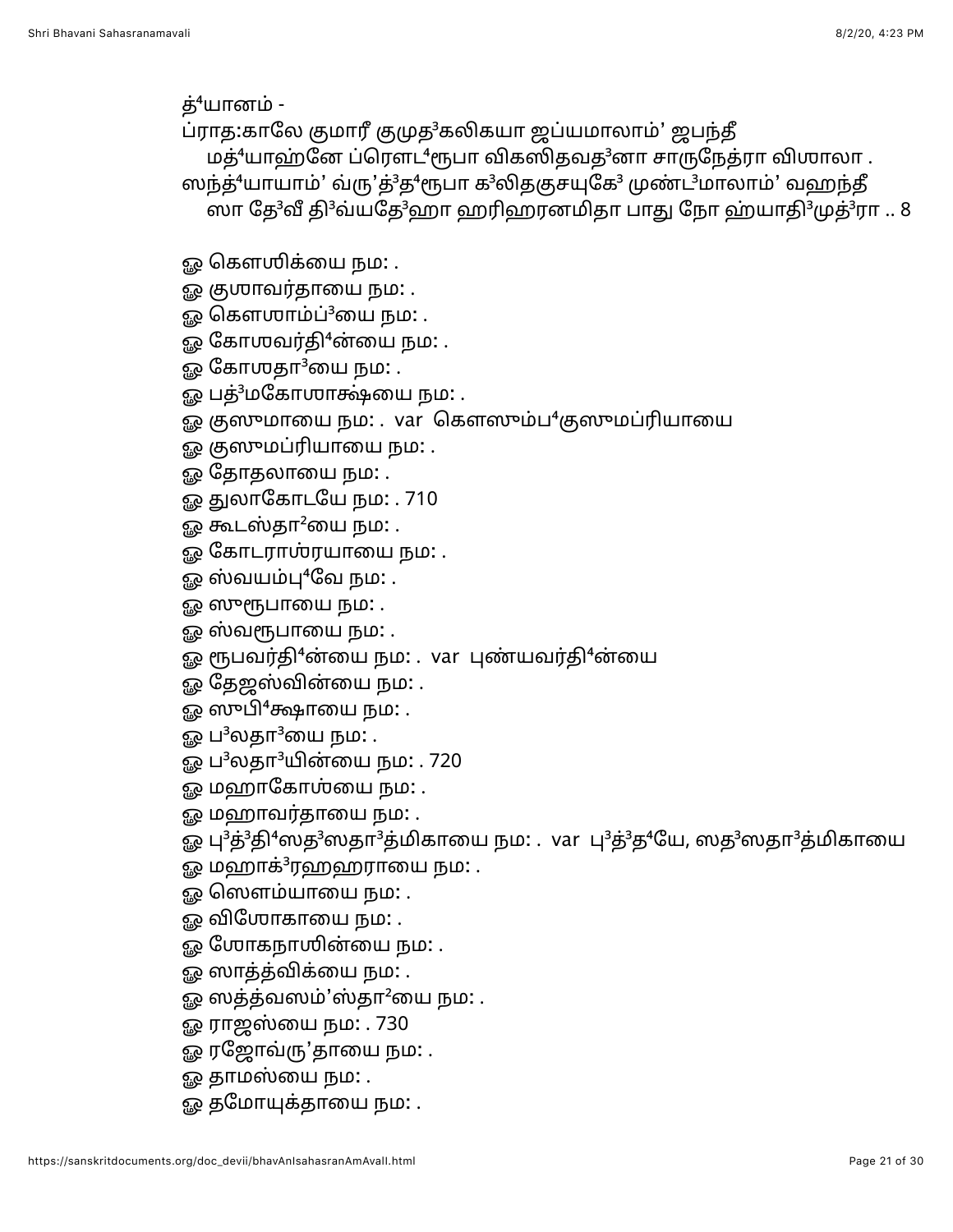த்<sup>4</sup>யானம் -

- ப்ராத:காலே குமாரீ குமுத<sup>3</sup>கலிகயா ஜப்யமாலாம்' ஜபந்தீ மத் $4$ யாஹ்னே ப்ரௌட் $4$ ரூபா விகஸிதவத $3$ னா சாருநேத்ரா விஶாலா.
- ஸந்த்<sup>4</sup>யாயாம்' வ்ரு'த்<sup>3</sup>த<sup>4</sup>ரூபா க<sup>3</sup>லிதகுசயுகே<sup>3</sup> முண்ட<sup>3</sup>மாலாம்' வஹந்தீ ஸா தே<sup>3</sup>வீ தி<sup>3</sup>வ்யதே<sup>3</sup>ஹா ஹரிஹரனமிதா பாது நோ ஹ்யாதி<sup>3</sup>முத்<sup>3</sup>ரா .. 8
- - ஓ கௌஶிக்யை நம: .
	- ஓ கு**ராவர்தாயை நம**: .
	- ஓ கௌஶாம்ப்<sup>3</sup>யை நம: .
	- ஓ கோஶவர்தி $4$ ன்யை நம $:$  .
	- ஓ கோஶதா $^3$ யை நம $:$  .
	- ஓ பத்<sup>3</sup>மகோஶாக்ஷ்யை நம: .
	- ஓ குஸுமாயை நம: . var கௌஸும்ப<sup>4</sup>குஸுமப்ரியாயை
	- ஓ குஸுமப்ரியாயை நம: .
	- ஓ தோதலாயை நம: .
	- ஓ துலாகோடயே நம: . 710
	- ஓ கூடஸ்தா $^2$ யை நம $:$  .
	- ஓ கோடராஶ்ரயாயை நம: .
	- ஓ ஸ்வயம்பு $4$ வே நம $:$  .
	- ஓ ஸுரூபாயை நம: .
	- ஓ ஸ்வரூபாயை நம**:** .
	- ஓ ரூபவர்தி<sup>4</sup>ன்யை நம: . var புண்யவர்தி<sup>4</sup>ன்யை
	- ஓ தேஜஸ்வின்யை நம: .
	- ஓ ஸுபி $^4$ க்ஷாயை நம: .
	- ஓ ப $3$ லதா $3$ யை நம $\colon$  .
	- ஓ ப<sup>3</sup>லதா<sup>3</sup>யின்யை நம: . 720
	- ஓ மஹாகோஶ்யை நம: .
	- ஓ மஹாவர்தாயை நம**:** .
	- ஓ பு<sup>3</sup>த்<sup>3</sup>தி<sup>4</sup>ஸத<sup>3</sup>ஸதா<sup>3</sup>த்மிகாயை நம: . var பு<sup>3</sup>த்<sup>3</sup>த்<sup>4</sup>யே, ஸத<sup>3</sup>ஸதா<sup>3</sup>த்மிகாயை
	- ஓ மஹாக் $3$ ரஹஹராயை நம $:$  .
	- ஓ ஸௌம்யாயை நம: .
	- ஓ விஶோகாயை நம: .
	- ஓ ஶோகநாஶின்யை நம: .
	- ஓ ஸாத்த்விக்யை நம: .
	- ஓ ஸத்த்வஸம்'ஸ்தா $^2$ யை நம $:$  .
	- ஓ ராஜஸ்யை நம: . 730
	- ஓ ரஜோவ்ரு'தாயை நம: .
	- ஓ தாமஸ்யை நம**:** .
	- ஓ தமோயுக்தாயை நம: .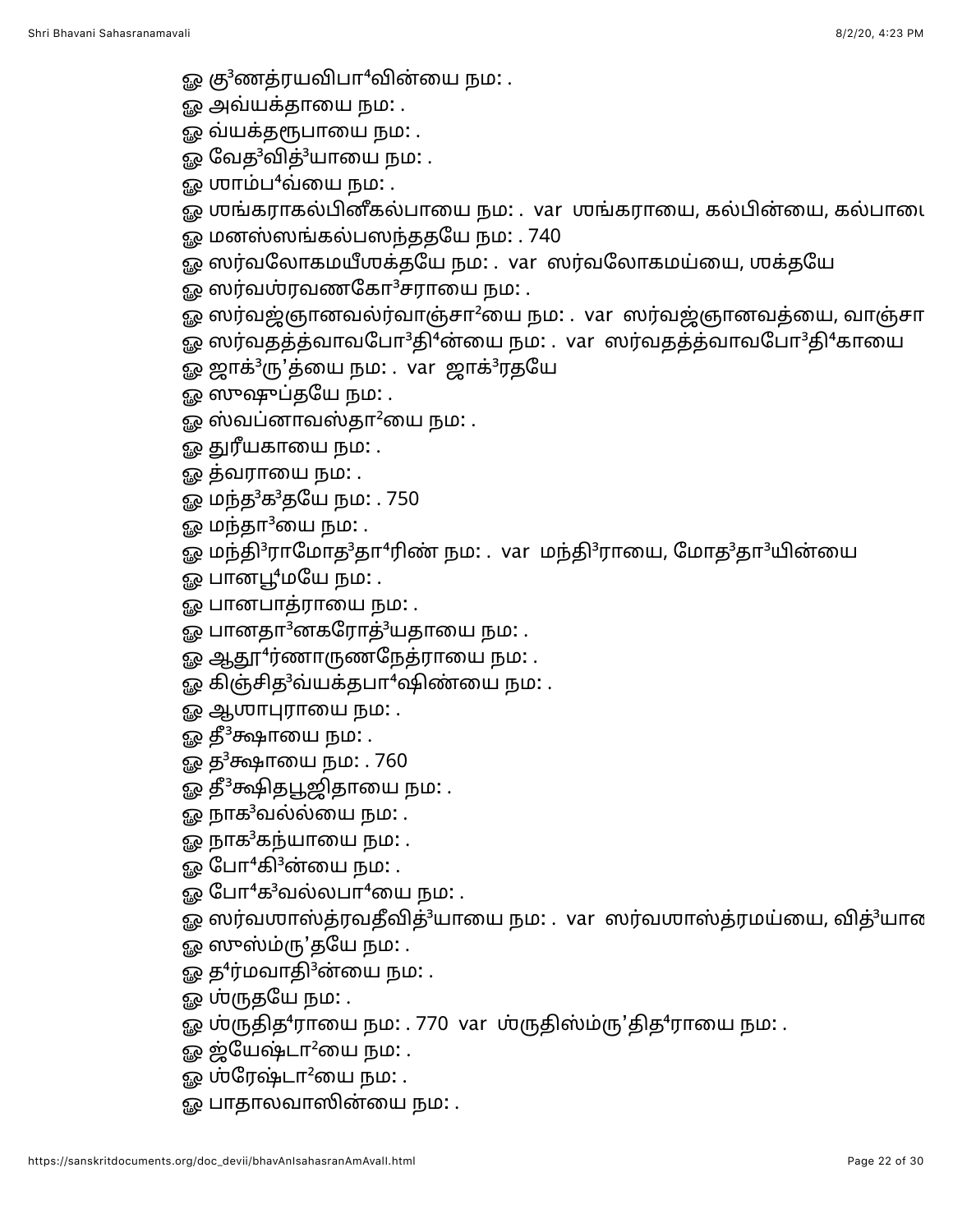- ஓ கு<sup>3</sup>ணத்ரயவிபா<sup>4</sup>வின்யை நம: .
- ஓ அவ்யக்தாயை நம: .
- <u>ஓ</u> வ்யக்தரூபாயை நம: .
- ஓ வேத<sup>3</sup>வித்<sup>3</sup>யாயை நம: .
- ஓ ஶாம்ப $^4$ வ்யை நம $\colon$  .
- ஓ ஶங்கராகல்பினீகல்பாயை நம: . var ஶங்கராயை, கல்பின்யை, கல்பாடை
- ஓ மனஸ்ஸங்கல்பஸந்ததயே நம: . 740
- ஓ ஸர்வலோகமயீஶக்தயே நம: . var ஸர்வலோகமய்யை, ஶக்தயே
- ஓ ஸர்வஶ்ரவணகோ $3$ சராயை நம $: .$
- ஓ ஸர்வஜ்ஞானவல்ர்வாஞ்சா<sup>2</sup>யை நம: . var ஸர்வஜ்ஞானவத்யை, வாஞ்சா
- ஓ ஸர்வதத்த்வாவபோ<sup>3</sup>தி<sup>4</sup>ன்யை நம: . var ஸர்வதத்த்வாவபோ<sup>3</sup>தி<sup>4</sup>காயை
- ஓ ஜாக்<sup>3</sup>ரு'த்யை நம: . var ஜாக்<sup>3</sup>ரதயே
- ஓ ஸுஷுப்தயே நம: .
- ஓ ஸ்வப்னாவஸ்தா $^2$ யை நம $\colon$  .
- ஓ துரீயகாயை நம: .
- ஓ த்வராயை நம: .
- ஓ மந்த<sup>3</sup>க<sup>3</sup>தயே நம: . 750
- ஓ மந்தா $3$ யை நம $:$  .
- ஓ மந்தி<sup>3</sup>ராமோத<sup>3</sup>தா<sup>4</sup>ரிண் நம: . var மந்தி<sup>3</sup>ராயை, மோத<sup>3</sup>தா<sup>3</sup>யின்யை
- ஓ பானபூ<sup>4</sup>மயே நம: .
- ஓ பானபாத்ராயை நம: .
- ஓ பானதா<sup>3</sup>னகரோத்<sup>3</sup>யதாயை நம: .
- ஓ ஆதூ<sup>4</sup>ர்ணாருணநேத்ராயை நம: .
- ஓ கிஞ்சித<sup>3</sup>வ்யக்தபா<sup>4</sup>ஷிண்யை நம: .
- ஓ ஆஶாபுராயை நம: .
- ஓ தீ<sup>3</sup>க்ஷாயை நம: .
- ஓ த<sup>3</sup>க்ஷாயை நம: . 760
- ஓ தீ<sup>3</sup>க்ஷிதபூஜிதாயை நம: .
- ஓ நாக<sup>3</sup>வல்ல்யை நம: .
- ஓ நாக<sup>3</sup>கந்யாயை நம: .
- ஓ போ $4$ கி $3$ ன்யை நம $:$  .
- ஓ போ $4$ க $3$ வல்லபா $4$ யை நம $\ldots$
- ஓ ஸர்வஶாஸ்த்ரவதீவித்<sup>3</sup>யாயை நம: . var ஸர்வஶாஸ்த்ரமய்யை, வித்<sup>3</sup>யான
- ஓ ஸுஸ்ம்ரு'தயே நம: .
- ஓ த<sup>4</sup>ர்மவாதி<sup>3</sup>ன்யை நம: .
- ஓ **ஶ்ருதயே** நம: .
- ஓ ஶ்ருதித<sup>4</sup>ராயை நம: . 770 var ஶ்ருதிஸ்ம்ரு'தித<sup>4</sup>ராயை நம: .
- $\mathbb{R}^2$  ஜ்யேஷ்டா $^2$ யை நம $\mathbb{R}^2$  .
- ஓ ஸ்ரேஷ்டா $^2$ யை நம $:$  .
- ஓ பாதாலவாஸின்யை நம: .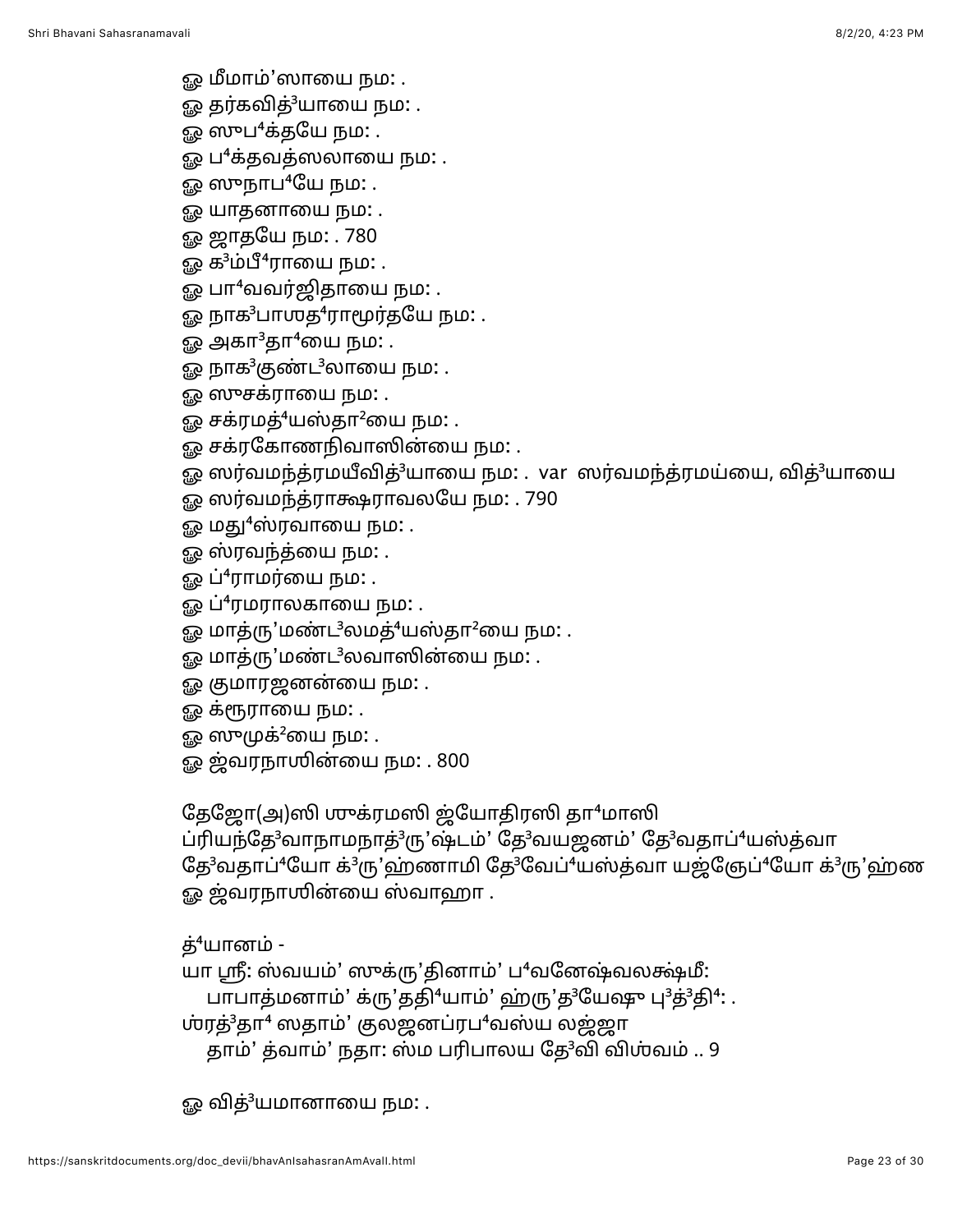<u>ஓ</u> மீமாம்'ஸாயை நம: .

ஓ தர்கவித்<sup>3</sup>யாயை நம: .

ஓ ஸுப $4$ க்தயே நம $:$  .

ஓ ப $^4$ க்தவத்ஸலாயை நம $:$  .

ஓ ஸுநாப ${}^4$ யே நம $:$  .

ஓ யாதனாயை நம: .

ஓ ஜாதயே நம: . 780

ஓ க $3$ ம்பீ $4$ ராயை நம: .

ஓ பா<sup>4</sup>வவர்ஜிதாயை நம: .

ஓ நாக ${}^{3}$ பாஶத ${}^{4}$ ராமூர்தயே நம $:$  .

ஓ அகா ${}^{3}$ தா ${}^{4}$ யை நம $:$  .

ஓ நாக<sup>3</sup>குண்ட<sup>3</sup>லாயை நம: .

<u>ஓ</u> ஸுசக்ராயை நம: .

ஓ சக்ரமத்<sup>4</sup>யஸ்தா<sup>2</sup>யை நம: .

ஓ சக்ரகோணநிவாஸின்யை நம: .

ஓ ஸர்வமந்த்ரமயீவித்<sup>3</sup>யாயை நம: . var ஸர்வமந்த்ரமய்யை, வித்<sup>3</sup>யாயை

- ஓ ஸர்வமந்த்ராக்ஷராவலயே நம: . 790
- ஓ மது<sup>4</sup>ஸ்ரவாயை நம: .
- ஓ ஸ்ரவந்த்யை நம: .
- ஓ ப்<sup>4</sup>ராமர்யை நம: .
- ஓ ப்<sup>4</sup>ரமராலகாயை நம: .
- ஓ மாத்ரு'மண்ட $^3$ லமத் $^4$ யஸ்தா $^2$ யை நம $\colon$  .
- ஓ மாத்ரு'மண்ட<sup>3</sup>லவாஸின்யை நம: .
- ௐ குமாரஜனன்யை நம: .
- <u>ஓ</u> க்ரூராயை நம: .
- ஓ ஸுமுக்<sup>2</sup>யை நம: .

ஓ ஜ்வரநாஶின்யை நம: . 800

தேஜோ(அ)ஸி முுக்ரமஸி ஜ்யோதிரஸி தா $4$ மாஸி

ப்ரியந்தே<sup>3</sup>வாநாமநாத்<sup>3</sup>ரு'ஷ்டம்' தே<sup>3</sup>வயஜனம்' தே<sup>3</sup>வதாப்<sup>4</sup>யஸ்த்வா தே<sup>3</sup>வதாப்<sup>4</sup>யோ க்<sup>3</sup>ரு'ஹ்ணாமி தே<sup>3</sup>வேப்<sup>4</sup>யஸ்த்வா யஜ்ஞேப்<sup>4</sup>யோ க்<sup>3</sup>ரு'ஹ்ண ஓ ஜ்வரநாஶின்யை ஸ்வாஹா .

த்<sup>4</sup>யானம் -

யா ஸ்ரீ: ஸ்வயம்' ஸுக்ரு'தினாம்' ப<sup>4</sup>வனேஷ்வலக்ஷ்மீ:

பாபாத்மனாம்' க்ரு'ததி<sup>4</sup>யாம்' ஹ்ரு'த<sup>3</sup>யேஷு பு<sup>3</sup>த்<sup>3</sup>தி<sup>4</sup>: .

ர்ரத்<sup>3</sup>தா<sup>4</sup> ஸதாம்' குலஜனப்ரப<sup>4</sup>வஸ்ய லஜ்ஜா

தாம்' த்வாம்' நதா: ஸ்ம பரிபாலய தே<sup>3</sup>வி விஶ்வம் .. 9

ஓ வித்<sup>3</sup>யமானாயை நம: .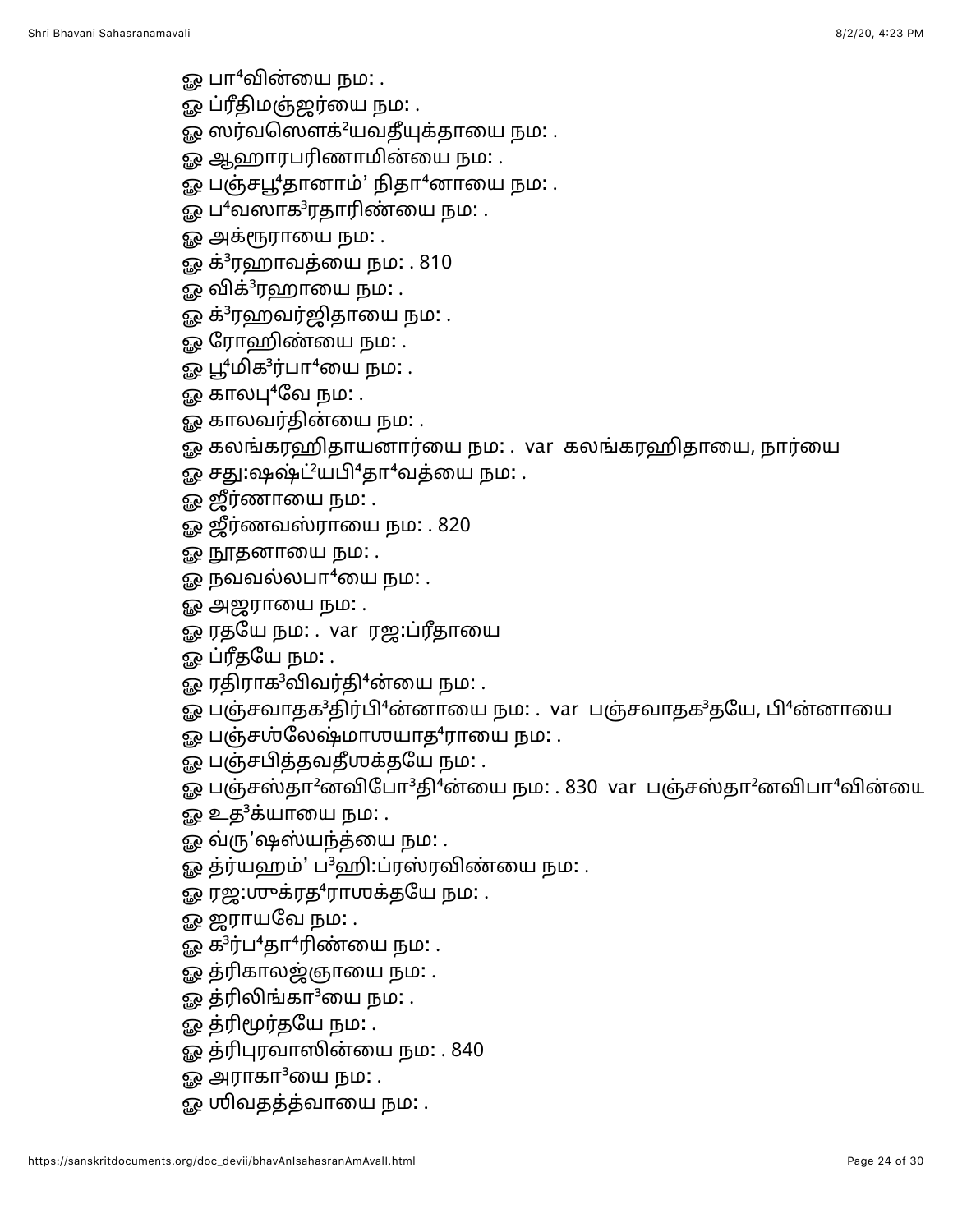ஓ பா<sup>4</sup>வின்யை நம: .

ஓ ப்ரீதிமஞ்ஜர்யை நம: .

ஓ ஸர்வஸௌக்<sup>2</sup>யவதீயுக்தாயை நம: .

ஓ ஆஹாரபரிணாமின்யை நம: .

ஓ பஞ்சபூ<sup>4</sup>தானாம்' நிதா<sup>4</sup>னாயை நம: .

ஓ ப $^4$ வஸாக $^3$ ரதாரிண்யை நம $:$  .

ஓ அக்ரூராயை நம**:** .

ஓ க்<sup>3</sup>ரஹாவத்யை நம: . 810

ஓ விக் $3$ ரஹாயை நம $:$  .

ஓ க்<sup>3</sup>ரஹவர்ஜிதாயை நம: .

ஓ ரோஹிண்யை நம: .

ஓ பூ"மிக<sup>3</sup>ர்பா<sup>4</sup>யை நம: .

ஓ காலபு $4$ வே நம $:$  .

ஓ காலவர்தின்யை நம: .

ஓ கலங்கரஹிதாயனார்யை நம: . var கலங்கரஹிதாயை, நார்யை

ஓ சது:ஷஷ்ட்<sup>2</sup>யபி<sup>4</sup>தா<sup>4</sup>வத்யை நம: .

ஓ ஜீர்ணாயை நம: .

ஓ ஜீர்ணவஸ்ராயை நம: . 820

ஓ நூதனாயை நம**:** .

ஓ நவவல்லபா $4$ யை நம: .

ஓ அஜராயை நம: .

ஓ ரதயே நம: . var ரஜ:ப்ரீதாயை

ஓ ப்ரீதயே நம: .

ஓ ரதிராக<sup>3</sup>விவர்தி<sup>4</sup>ன்யை நம: .

ஓ பஞ்சவாதக<sup>3</sup>திர்பி<sup>4</sup>ன்னாயை நம: . var பஞ்சவாதக<sup>3</sup>தயே, பி<sup>4</sup>ன்னாயை

ஓ பஞ்சஶ்லேஷ்மாஶயாத<sup>4</sup>ராயை நம: .

ஓ பஞ்சபித்தவதீஶக்தயே நம: .

ஓ பஞ்சஸ்தா<sup>2</sup>னவிபோ<sup>3</sup>தி<sup>4</sup>ன்யை நம: . 830 var பஞ்சஸ்தா<sup>2</sup>னவிபா<sup>4</sup>வின்யை

 $\Omega$  உத $^3$ க்யாயை நம $\Omega$  .

ஓ வ்ரு'ஷஸ்யந்த்யை நம: .

ஓ த்ர்யஹம்' ப<sup>3</sup>ஹி:ப்ரஸ்ரவிண்யை நம: .

ஓ ரஜ:ஶுக்ரத<sup>4</sup>ராஶக்தயே நம: .

ஓ ஜராயவே நம: .

ஓ க ${}^{3}$ ர்ப ${}^{4}$ தா ${}^{4}$ ரிண்யை நம: .

ஓ த்ரிகாலஜ்ஞாயை நம: .

ஓ த்ரிலிங்கா $3$ யை நம: .

ஓ த்ரிமூர்தயே நம: .

ஓ த்ரிபுரவாஸின்யை நம: . 840

ஓ அராகா $3$ யை நம $:$  .

<u>ஓ</u> ஶிவதத்த்வாயை நம: .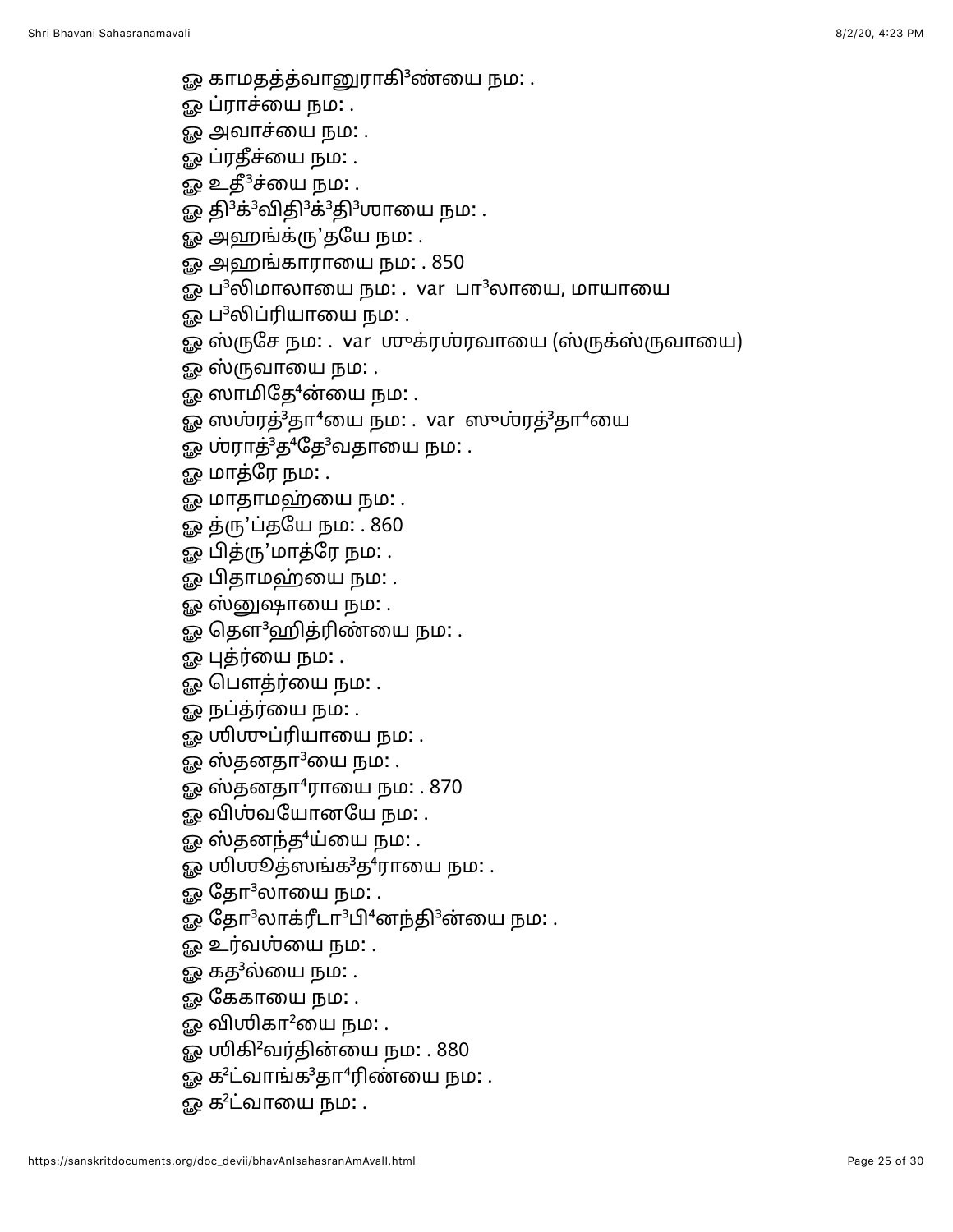- ஓ காமதத்த்வானுராகி<sup>3</sup>ண்யை நம: .
- <u>ஓ</u> ப்ராச்யை நம: .
- <u>ஓ</u> அவாச்யை நம: .
- ஓ ப்ரதீச்யை நம**:** .
- ஓ உதீ ${}^{3}$ ச்யை நம $:$  .
- ஓ தி<sup>3</sup>க்<sup>3</sup>விதி<sup>3</sup>க்<sup>3</sup>தி<sup>3</sup>ஶாயை நம: .
- ஓ அஹங்க்ரு'தயே நம: .
- ஓ அஹங்காராயை நம: . 850
- ஓ ப<sup>3</sup>லிமாலாயை நம: . var பா<sup>3</sup>லாயை, மாயாயை
- ஓ ப<sup>3</sup>லிப்ரியாயை நம: .
- ஓ ஸ்ருசே நம: . var ஶுக்ரஶ்ரவாயை (ஸ்ருக்ஸ்ருவாயை)
- ஓ ஸ்ருவாயை நம: .
- ஓ ஸாமிதே<sup>4</sup>ன்யை நம: .
- ஓ ஸஶ்ரத் $3$ தா $4$ யை நம $\colon$ . var ஸுஶ்ரத் $3$ தா $4$ யை
- ஓ ஶ்ராத்<sup>3</sup>த<sup>4</sup>தே<sup>3</sup>வதாயை நம: .
- ஓ மாத்ரே நம: .
- ஓ மாதாமஹ்யை நம: .
- ஓ த்ரு'ப்தயே நம: . 860
- ஓ பித்ரு'மாத்ரே நம: .
- ஓ பிதாமஹ்யை நம: .
- ஓ ஸ்னுஷாயை நம: .
- ஓ தெள<sup>3</sup>ஹித்ரிண்யை நம: .
- ஓ புத்ர்யை நம: .
- ஓ பௌத்ர்யை நம: .
- ஓ நப்த்ர்யை நம: .
- ஓ ஶிஶுப்ரியாயை நம: .
- ஓ ஸ்தனதா $^3$ யை நம $\colon$  .
- ஓ ஸ்தனதா $4$ ராயை நம $:$  . 870
- ஓ விஶ்வயோனயே நம: .
- ஓ ஸ்தனந்த<sup>4</sup>ய்யை நம: .
- $\bar{g}$ ை மிஶூத்ஸங்க $^3$ த $^4$ ராயை நம $:$  .
- $\mathbb{Q} \mathbb{Q}$  தோ $^3$ லாயை நம $\colon$ .
- ஓ தோ<sup>3</sup>லாக்ரீடா<sup>3</sup>பி<sup>4</sup>னந்தி<sup>3</sup>ன்யை நம: .
- <u>ஓ</u> உர்வஶ்யை நம: .
- ஓ கத<sup>3</sup>ல்யை நம: .
- ஓ கேகாயை நம: .
- $\mathbb{R}^2$  வியிகா $^2$ யை நம $\mathbb{R}$  .
- ஓ ஶிகி<sup>2</sup>வர்தின்யை நம: . 880
- ஓ க<sup>2</sup>ட்வாங்க<sup>3</sup>தா<sup>4</sup>ரிண்யை நம: .
- ஓ க $^2$ ட்வாயை நம $:$  .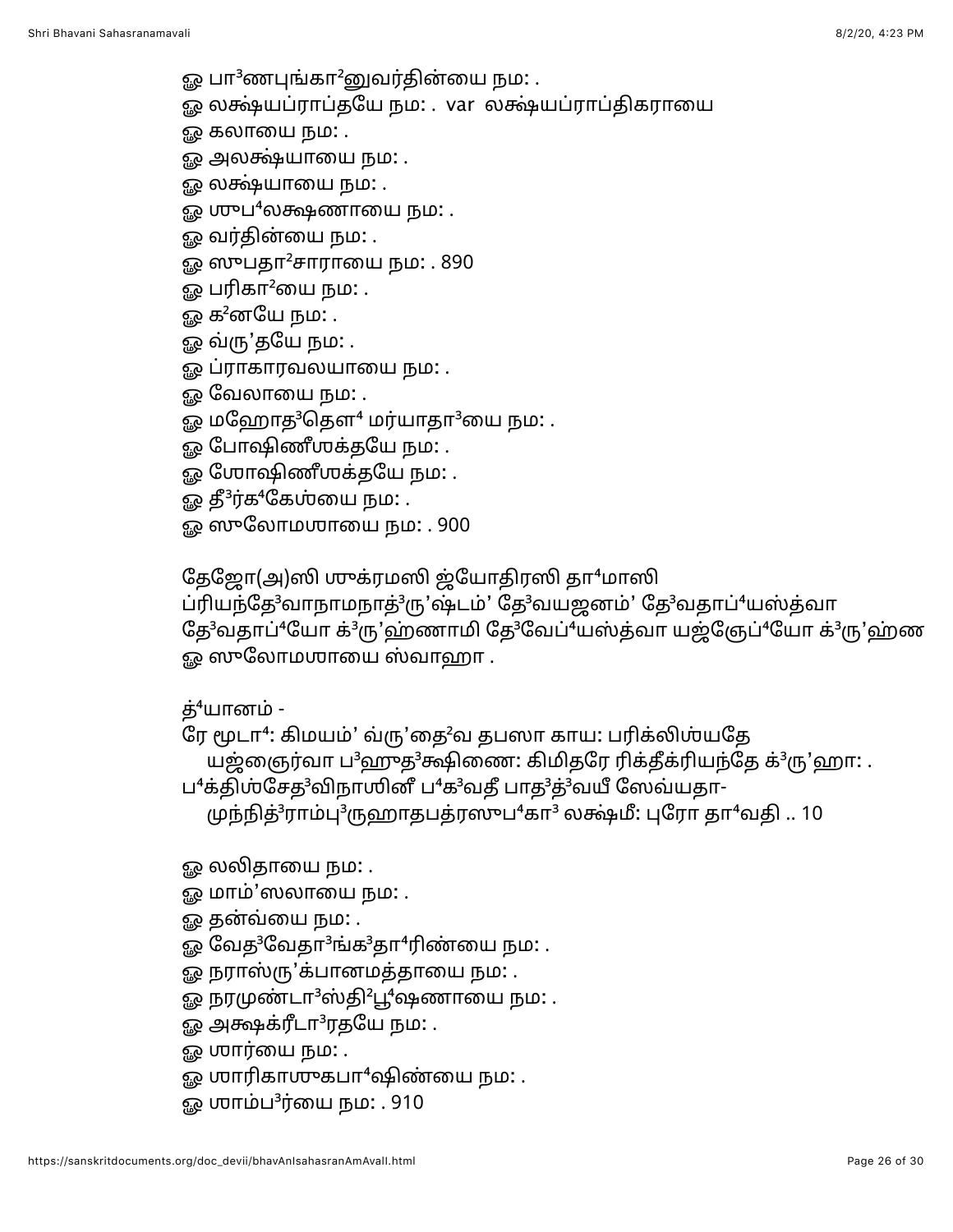- ஓ பா<sup>3</sup>ணபுங்கா<sup>2</sup>னுவர்தின்யை நம: .
- ஓ லக்ஷ்யப்ராப்தயே நம: . var லக்ஷ்யப்ராப்திகராயை
- ஓ கலாயை நம: .
- ஓ அலக்ஷ்யாயை நம**:** .
- ஓ லக்ஷ்யாயை நம: .
- $\Omega$  முுப $^4$ லக்ஷணாயை நம $\Omega$  .
- ஓ வர்தின்யை நம**:** .
- ஓ ஸுபதா<sup>2</sup>சாராயை நம: . 890
- ஓ பரிகா $^2$ யை நம $:$  .
- ஓ க $^2$ னயே நம $:$  .
- ஓ வ்ரு'தயே நம: .
- ஓ ப்ராகாரவலயாயை நம: .
- ஓ வேலாயை நம: .
- ஓ மஹோத<sup>3</sup>தௌ<sup>4</sup> மர்யாதா<sup>3</sup>யை நம: .
- ஓ போஷிணீஶக்தயே நம: .
- ஓ ஶோஷிணீஶக்தயே நம: .
- ஓ தீ $3$ ர்க $4$ கேஶ்யை நம $:$  .
- ஓ ஸுலோமஶாயை நம: . 900

தேஜோ(அ)ஸி முக்ரமஸி ஜ்யோதிரஸி தா<sup>4</sup>மாஸி

ப்ரியந்தே<sup>3</sup>வாநாமநாத்<sup>3</sup>ரு'ஷ்டம்' தே<sup>3</sup>வயஜனம்' தே<sup>3</sup>வதாப்<sup>4</sup>யஸ்த்வா தே<sup>3</sup>வதாப்<sup>4</sup>யோ க்<sup>3</sup>ரு'ஹ்ணாமி தே<sup>3</sup>வேப்<sup>4</sup>யஸ்த்வா யஜ்ஞேப்<sup>4</sup>யோ க்<sup>3</sup>ரு'ஹ்ண ஓ ஸுலோமஶாயை ஸ்வாஹா .

த் $4$ யானம் -

ரே மூடா<sup>4</sup>: கிமயம்' வரு'தை<sup>2</sup>வ தபஸா காய: பரிக்லிஸ்யதே

யஜ்ஞைர்வா ப<sup>3</sup>ஹுத<sup>3</sup>க்ஷிணை: கிமிதரே ரிக்தீக்ரியந்தே க்<sup>3</sup>ரு'ஹா: .

ப<sup>4</sup>க்திஶ்சேத<sup>3</sup>விநாஶினீ ப<sup>4</sup>க<sup>3</sup>வதீ பாத<sup>3</sup>த்<sup>3</sup>வயீ ஸேவ்யதா-

 $\mu$ ந்நித் ${}^{3}$ ராம்பு ${}^{3}$ ருஹாதபத்ரஸுப ${}^{4}$ கா ${}^{3}$  லக்ஷ்மீ: புரோ தா ${}^{4}$ வதி .. 10

ஓ லலிதாயை நம**:** .

- ஓ மாம்'ஸலாயை நம: .
- ஓ தன்வ்யை நம: .
- ஓ வேத ${}^{3}$ வேதா ${}^{3}$ ங்க ${}^{3}$ தா ${}^{4}$ ரிண்யை நம: .
- ஓ நராஸ்ரு'க்பானமத்தாயை நம: .
- ஓ நரமுண்டா<sup>3</sup>ஸ்தி<sup>2</sup>பூ<sup>4</sup>ஷணாயை நம: .
- ஓ அக்ஷக்ரீடா<sup>3</sup>ரதயே நம: .
- ஓ **மார்யை நம:** .
- ஓ ஶாரிகாஶுகபா $4$ ஷிண்யை நம: .
- ஓ ஶாம்ப $^3$ ர்யை நம: . 910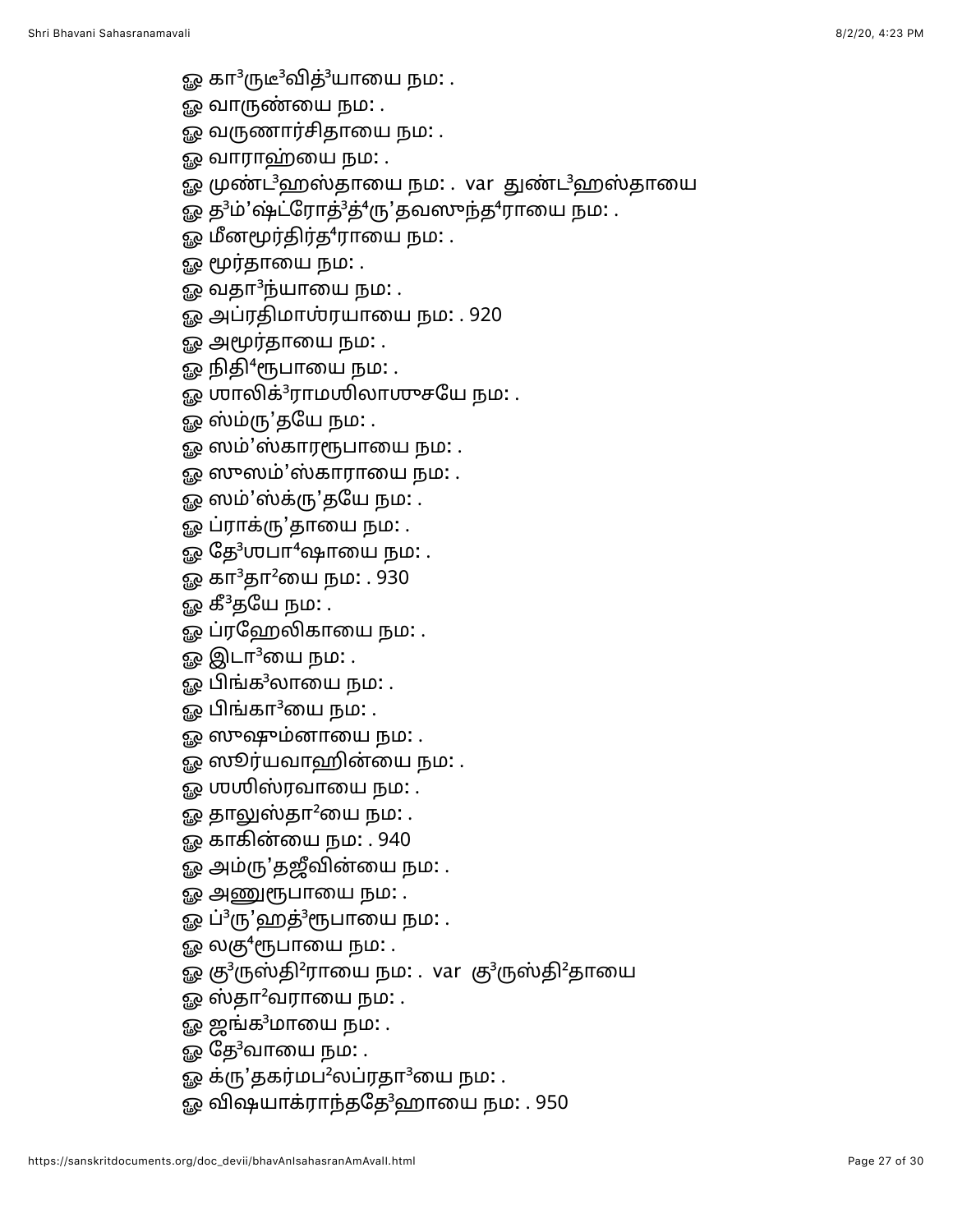- ஓ கா<sup>3</sup>ருடீ<sup>3</sup>வித்<sup>3</sup>யாயை நம: .
- <u>ஓ</u> வாருண்யை நம: .
- ஓ வருணார்சிதாயை நம**:** .
- ஓ வாராஹ்யை நம: .
- ஓ முண்ட<sup>3</sup>ஹஸ்தாயை நம: . var துண்ட<sup>3</sup>ஹஸ்தாயை
- ஓ த<sup>3</sup>ம்'ஷ்ட்ரோத்<sup>3</sup>த்<sup>4</sup>ரு'தவஸுந்த<sup>4</sup>ராயை நம: .
- ஓ மீனமூர்திர்த<sup>4</sup>ராயை நம: .
- ஓ மூர்தாயை நம: .
- $\mathbf{g}_{\mathbf{Q}}$  வதா $^3$ ந்யாயை நம $:$  .
- ஓ அப்ரதிமாஶ்ரயாயை நம: . 920
- ஓ அமூர்தாயை நம**:** .
- ஓ நிதி<sup>4</sup>ரூபாயை நம: .
- ஓ ஶாலிக்<sup>3</sup>ராமஶிலாஶுசயே நம: .
- ஓ ஸ்ம்ரு'தயே நம**:** .
- ஓ ஸம்'ஸ்காரரூபாயை நம: .
- ஓ ஸுஸம்'ஸ்காராயை நம: .
- ஓ ஸம்'ஸ்க்ரு'தயே நம: .
- ஓ ப்ராக்ரு'தாயை நம: .
- ஓ தே $3$ ஶபா $4$ ஷாயை நம $\colon$ .
- ஓ கா<sup>3</sup>தா<sup>2</sup>யை நம: . 930
- ஓ கீ<sup>3</sup>தயே நம: .
- ஓ ப்ரஹேலிகாயை நம: .
- ஓ இடா $3$ யை நம $:$  .
- ஓ பிங்க<sup>3</sup>லாயை நம: .
- ஓ பிங்கா $3$ யை நம: .
- ஓ ஸுஷும்னாயை நம: .
- ஓ ஸூர்யவாஹின்யை நம: .
- ௐ ஶஶிஸ்ரவாயை நம: .
- ஓ தாலுஸ்தா<sup>2</sup>யை நம: .
- ஓ காகின்யை நம: . 940
- ஓ அம்ரு'தஜீவின்யை நம: .
- ஓ அணுரூபாயை நம: .
- ஓ ப்<sup>3</sup>ரு'ஹத்<sup>3</sup>ரூபாயை நம: .
- ஓ லகு $4$ ரூபாயை நம $\colon$  .
- ஓ கு<sup>3</sup>ருஸ்தி<sup>2</sup>ராயை நம: . var கு<sup>3</sup>ருஸ்தி<sup>2</sup>தாயை
- ஓ ஸ்தா<sup>2</sup>வராயை நம: .
- ஓ ஜங்க<sup>3</sup>மாயை நம: .
- $\mathbb{G}_{\mathbb{B}}$  தே $3$ வாயை நம $\colon$  .
- ஓ க்ரு'தகர்மப<sup>2</sup>லப்ரதா<sup>3</sup>யை நம: .
- ஓ விஷயாக்ராந்ததே<sup>3</sup>ஹாயை நம: . 950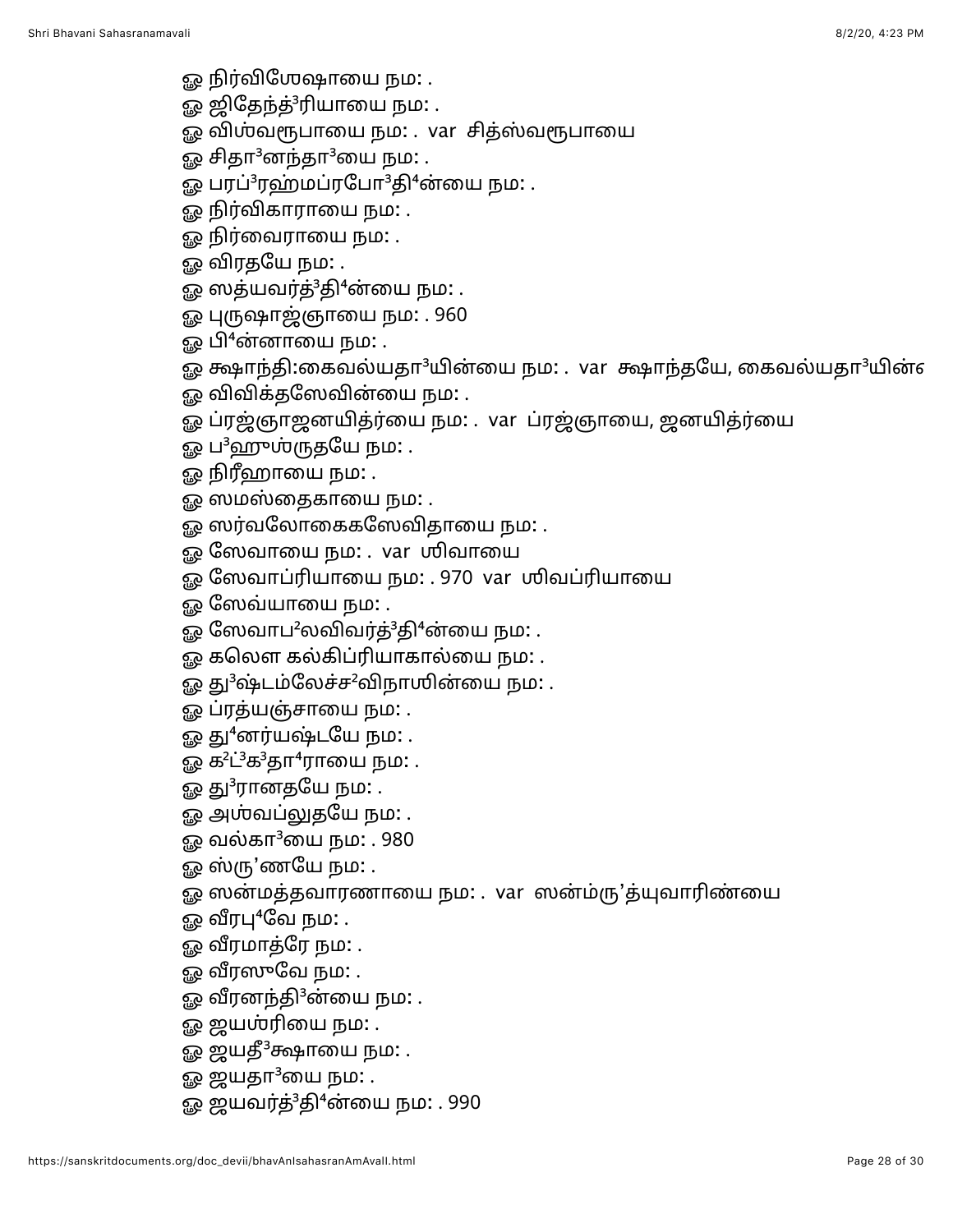- <u>ஓ</u> நிர்விஶேஷாயை நம: .
- ஓ ஜிதேந்த்<sup>3</sup>ரியாயை நம: .
- ஓ விஶ்வரூபாயை நம: . var சித்ஸ்வரூபாயை
- ஓ சிதா $3$ னந்தா $3$ யை நம $\colon$ .
- ஓ பரப்<sup>3</sup>ரஹ்மப்ரபோ<sup>3</sup>தி<sup>4</sup>ன்யை நம: .
- ஓ நிர்விகாராயை நம: .
- ஓ நிர்வைராயை நம: .
- ஓ விரதயே நம: .
- ஓ ஸத்யவர்த்<sup>3</sup>தி<sup>4</sup>ன்யை நம: .
- ஓ புருஷாஜ்ஞாயை நம: . 960
- ஓ பி<sup>4</sup>ன்னாயை நம: .
- ஓ க்ஷாந்தி:கைவல்யதா<sup>3</sup>யின்யை நம: . var க்ஷாந்தயே, கைவல்யதா<sup>3</sup>யின்எ
- ஓ விவிக்தஸேவின்யை நம: .
- ஓ ப்ரஜ்ஞாஜனயித்ர்யை நம: . var ப்ரஜ்ஞாயை, ஜனயித்ர்யை
- ஓ ப<sup>3</sup>ஹுஶ்ருதயே நம: .
- ஓ நிரீஹாயை நம**:** .
- ஓ ஸமஸ்தைகாயை நம: .
- ஓ ஸர்வலோகைகஸேவிதாயை நம: .
- ஓ ஸேவாயை நம: . var ஶிவாயை
- ஓ ஸேவாப்ரியாயை நம: . 970 var ரிவப்ரியாயை
- ஓ ஸேவ்யாயை நம: .
- ஓ ஸேவாப<sup>2</sup>லவிவர்த்<sup>3</sup>தி<sup>4</sup>ன்யை நம: .
- ஓ கலௌ கல்கிப்ரியாகால்யை நம: .
- ஓ து<sup>3</sup>ஷ்டம்லேச்ச<sup>2</sup>விநாஶின்யை நம: .
- ஓ ப்ரத்யஞ்சாயை நம: .
- ஓ து<sup>4</sup>னர்யஷ்டயே நம: .
- ஓ க<sup>2</sup>ட்<sup>3</sup>க<sup>3</sup>தா<sup>4</sup>ராயை நம: .
- ஓ து ${}^{3}$ ரானதயே நம $:$  .
- ஓ அஶ்வப்லுதயே நம: .
- ஓ வல்கா $3$ யை நம $: . 980$
- ஓ ஸ்ரு'ணயே நம: .
- ஓ ஸன்மத்தவாரணாயை நம: . var ஸன்ம்ரு'த்யுவாரிண்யை
- ஓ வீரபு $4$ வே நம $:$  .
- ஓ வீரமாத்ரே நம: .
- ஓ வீரஸுவே நம: .
- ஓ வீரனந்தி $3$ ன்யை நம $\colon$  .
- ஓ ஜயஶ்ரியை நம: .
- ஓ ஜயதீ<sup>3</sup>க்ஷாயை நம: .
- ஓ ஜயதா $3$ யை நம $\ldots$
- ஓ ஜயவர்த்<sup>3</sup>தி<sup>4</sup>ன்யை நம: . 990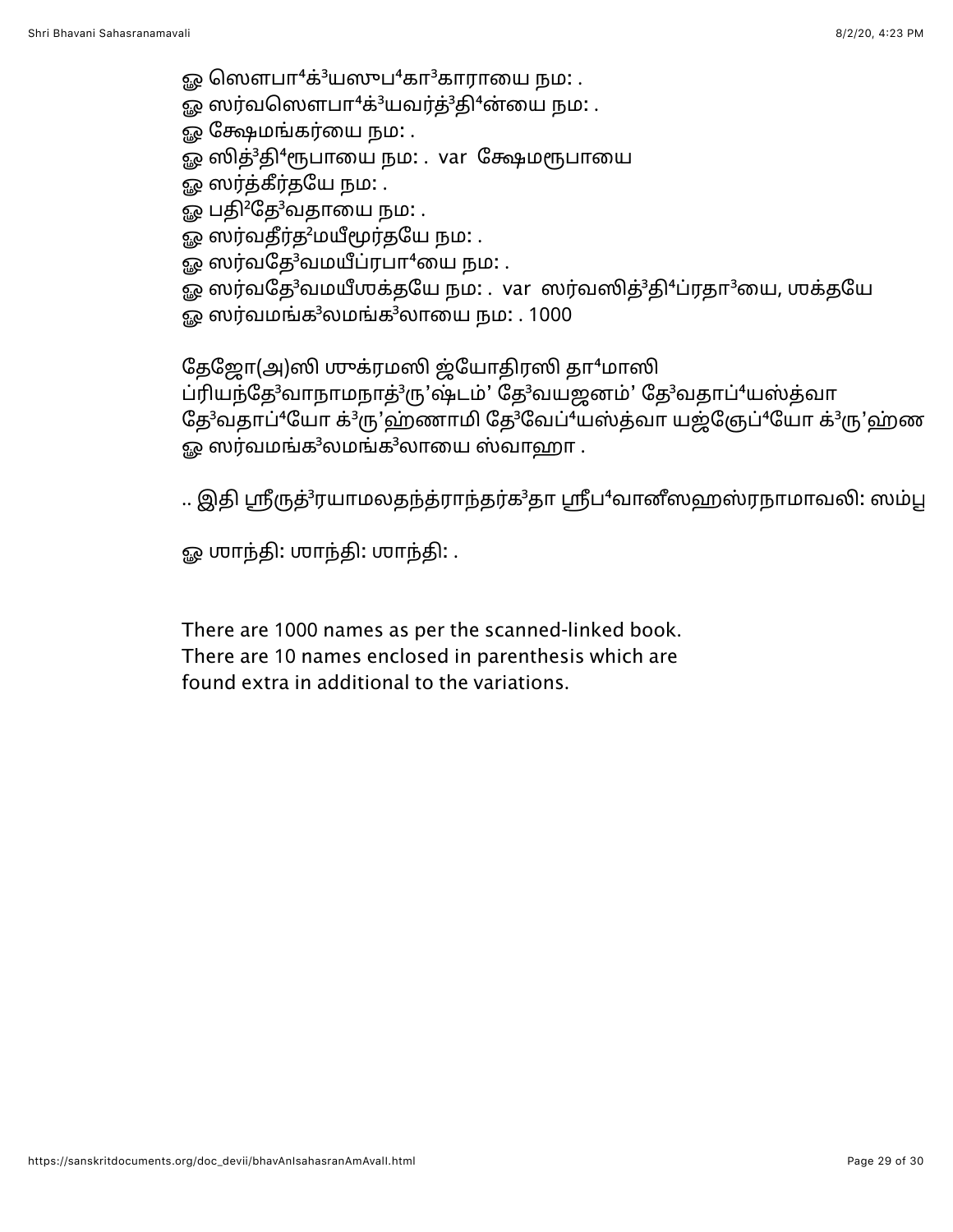ஓ ஸௌபா $4$ க் $3$ யஸுப $4$ கா $3$ காராயை நம $:$  .

ஓ ஸர்வஸௌபா $4$ க் $3$ யவர்த் $3$ தி $4$ ன்யை நம $\colon$  .

ஓ க்ஷேமங்கர்யை நம**:** .

ஓ ஸித்<sup>3</sup>தி<sup>4</sup>ரூபாயை நம: . var க்ஷேமரூபாயை

ஓ ஸர்த்கீர்தயே நம: .

ஓ பதி<sup>2</sup>தே<sup>3</sup>வதாயை நம: .

ஓ ஸர்வதீர்த<sup>2</sup>மயீமூர்தயே நம: .

 $\Omega$ ை ஸர்வதே $3$ வமயீப்ரபா $4$ யை நம $\Omega$ .

ஓ ஸர்வதே<sup>3</sup>வமயீஶக்தயே நம: . var ஸர்வஸித்<sup>3</sup>தி<sup>4</sup>ப்ரதா<sup>3</sup>யை, ஶக்தயே

 $\Omega$ ைஸர்வமங்க $3$ லமங்க $3$ லாயை நம $\Omega$  . 1000

தேஜோ(அ)ஸி ஶுக்ரமஸி ஜ்யோதிரஸி தா<sup>4</sup>மாஸி

ப்ரியந்தே<sup>3</sup>வாநாமநாத்<sup>3</sup>ரு'ஷ்டம்' தே<sup>3</sup>வயஜனம்' தே<sup>3</sup>வதாப்<sup>4</sup>யஸ்த்வா தே<sup>3</sup>வதாப்<sup>4</sup>யோ க்<sup>3</sup>ரு'ஹ்ணாமி தே<sup>3</sup>வேப்<sup>4</sup>யஸ்த்வா யஜ்ஞேப்<sup>4</sup>யோ க்<sup>3</sup>ரு'ஹ்ண  $\epsilon_{\rm 50}$  ஸர்வமங்க $^3$ லமங்க $^3$ லாயை ஸ்வாஹா.

.. இதி ஸ்ரீருத்<sup>3</sup>ரயாமலதந்த்ராந்தர்க<sup>3</sup>தா ஸ்ரீப<sup>4</sup>வானீஸஹஸ்ரநாமாவலி: ஸம்பூ

ஓ மாந்தி: மாந்தி: மாந்தி: .

There are 1000 names as per the scanned-linked book. There are 10 names enclosed in parenthesis which are found extra in additional to the variations.